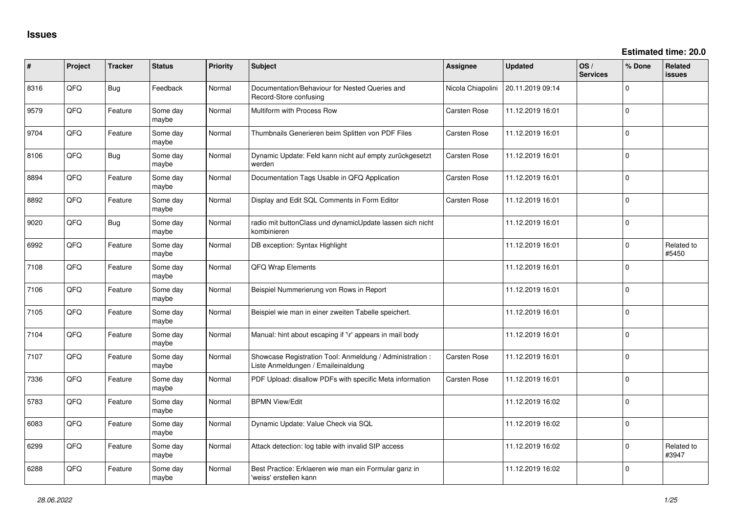| ∦    | Project | <b>Tracker</b> | <b>Status</b>     | <b>Priority</b> | <b>Subject</b>                                                                                 | Assignee            | <b>Updated</b>   | OS/<br><b>Services</b> | % Done      | Related<br><b>issues</b> |
|------|---------|----------------|-------------------|-----------------|------------------------------------------------------------------------------------------------|---------------------|------------------|------------------------|-------------|--------------------------|
| 8316 | QFQ     | <b>Bug</b>     | Feedback          | Normal          | Documentation/Behaviour for Nested Queries and<br>Record-Store confusing                       | Nicola Chiapolini   | 20.11.2019 09:14 |                        | 0           |                          |
| 9579 | QFQ     | Feature        | Some day<br>maybe | Normal          | Multiform with Process Row                                                                     | Carsten Rose        | 11.12.2019 16:01 |                        | 0           |                          |
| 9704 | QFQ     | Feature        | Some day<br>maybe | Normal          | Thumbnails Generieren beim Splitten von PDF Files                                              | Carsten Rose        | 11.12.2019 16:01 |                        | 0           |                          |
| 8106 | QFQ     | <b>Bug</b>     | Some day<br>maybe | Normal          | Dynamic Update: Feld kann nicht auf empty zurückgesetzt<br>werden                              | Carsten Rose        | 11.12.2019 16:01 |                        | 0           |                          |
| 8894 | QFQ     | Feature        | Some day<br>maybe | Normal          | Documentation Tags Usable in QFQ Application                                                   | Carsten Rose        | 11.12.2019 16:01 |                        | $\mathbf 0$ |                          |
| 8892 | QFQ     | Feature        | Some day<br>maybe | Normal          | Display and Edit SQL Comments in Form Editor                                                   | <b>Carsten Rose</b> | 11.12.2019 16:01 |                        | $\mathbf 0$ |                          |
| 9020 | QFQ     | <b>Bug</b>     | Some day<br>maybe | Normal          | radio mit buttonClass und dynamicUpdate lassen sich nicht<br>kombinieren                       |                     | 11.12.2019 16:01 |                        | $\mathbf 0$ |                          |
| 6992 | QFQ     | Feature        | Some day<br>maybe | Normal          | DB exception: Syntax Highlight                                                                 |                     | 11.12.2019 16:01 |                        | 0           | Related to<br>#5450      |
| 7108 | QFQ     | Feature        | Some day<br>maybe | Normal          | QFQ Wrap Elements                                                                              |                     | 11.12.2019 16:01 |                        | 0           |                          |
| 7106 | QFQ     | Feature        | Some day<br>maybe | Normal          | Beispiel Nummerierung von Rows in Report                                                       |                     | 11.12.2019 16:01 |                        | 0           |                          |
| 7105 | QFQ     | Feature        | Some day<br>maybe | Normal          | Beispiel wie man in einer zweiten Tabelle speichert.                                           |                     | 11.12.2019 16:01 |                        | 0           |                          |
| 7104 | QFQ     | Feature        | Some day<br>maybe | Normal          | Manual: hint about escaping if '\r' appears in mail body                                       |                     | 11.12.2019 16:01 |                        | 0           |                          |
| 7107 | QFQ     | Feature        | Some day<br>maybe | Normal          | Showcase Registration Tool: Anmeldung / Administration :<br>Liste Anmeldungen / Emaileinaldung | <b>Carsten Rose</b> | 11.12.2019 16:01 |                        | 0           |                          |
| 7336 | QFQ     | Feature        | Some day<br>maybe | Normal          | PDF Upload: disallow PDFs with specific Meta information                                       | <b>Carsten Rose</b> | 11.12.2019 16:01 |                        | 0           |                          |
| 5783 | QFQ     | Feature        | Some day<br>maybe | Normal          | <b>BPMN View/Edit</b>                                                                          |                     | 11.12.2019 16:02 |                        | 0           |                          |
| 6083 | QFQ     | Feature        | Some day<br>maybe | Normal          | Dynamic Update: Value Check via SQL                                                            |                     | 11.12.2019 16:02 |                        | $\mathbf 0$ |                          |
| 6299 | QFQ     | Feature        | Some day<br>maybe | Normal          | Attack detection: log table with invalid SIP access                                            |                     | 11.12.2019 16:02 |                        | 0           | Related to<br>#3947      |
| 6288 | QFQ     | Feature        | Some day<br>maybe | Normal          | Best Practice: Erklaeren wie man ein Formular ganz in<br>'weiss' erstellen kann                |                     | 11.12.2019 16:02 |                        | $\mathbf 0$ |                          |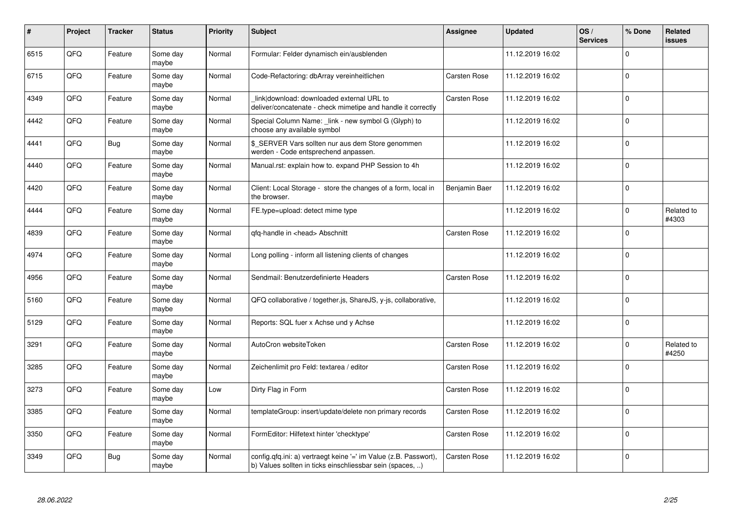| $\pmb{\#}$ | Project | Tracker | <b>Status</b>     | <b>Priority</b> | <b>Subject</b>                                                                                                                | <b>Assignee</b>     | <b>Updated</b>   | OS/<br><b>Services</b> | % Done      | Related<br>issues   |
|------------|---------|---------|-------------------|-----------------|-------------------------------------------------------------------------------------------------------------------------------|---------------------|------------------|------------------------|-------------|---------------------|
| 6515       | QFQ     | Feature | Some day<br>maybe | Normal          | Formular: Felder dynamisch ein/ausblenden                                                                                     |                     | 11.12.2019 16:02 |                        | $\Omega$    |                     |
| 6715       | QFQ     | Feature | Some day<br>maybe | Normal          | Code-Refactoring: dbArray vereinheitlichen                                                                                    | Carsten Rose        | 11.12.2019 16:02 |                        | $\mathbf 0$ |                     |
| 4349       | QFQ     | Feature | Some day<br>maybe | Normal          | link download: downloaded external URL to<br>deliver/concatenate - check mimetipe and handle it correctly                     | <b>Carsten Rose</b> | 11.12.2019 16:02 |                        | $\mathbf 0$ |                     |
| 4442       | QFQ     | Feature | Some day<br>maybe | Normal          | Special Column Name: _link - new symbol G (Glyph) to<br>choose any available symbol                                           |                     | 11.12.2019 16:02 |                        | $\Omega$    |                     |
| 4441       | QFQ     | Bug     | Some day<br>maybe | Normal          | \$_SERVER Vars sollten nur aus dem Store genommen<br>werden - Code entsprechend anpassen.                                     |                     | 11.12.2019 16:02 |                        | $\Omega$    |                     |
| 4440       | QFQ     | Feature | Some day<br>maybe | Normal          | Manual.rst: explain how to. expand PHP Session to 4h                                                                          |                     | 11.12.2019 16:02 |                        | $\mathbf 0$ |                     |
| 4420       | QFQ     | Feature | Some day<br>maybe | Normal          | Client: Local Storage - store the changes of a form, local in<br>the browser.                                                 | Benjamin Baer       | 11.12.2019 16:02 |                        | $\Omega$    |                     |
| 4444       | QFQ     | Feature | Some day<br>maybe | Normal          | FE.type=upload: detect mime type                                                                                              |                     | 11.12.2019 16:02 |                        | $\Omega$    | Related to<br>#4303 |
| 4839       | QFQ     | Feature | Some day<br>maybe | Normal          | gfg-handle in <head> Abschnitt</head>                                                                                         | Carsten Rose        | 11.12.2019 16:02 |                        | $\mathbf 0$ |                     |
| 4974       | QFQ     | Feature | Some day<br>maybe | Normal          | Long polling - inform all listening clients of changes                                                                        |                     | 11.12.2019 16:02 |                        | $\mathbf 0$ |                     |
| 4956       | QFQ     | Feature | Some day<br>maybe | Normal          | Sendmail: Benutzerdefinierte Headers                                                                                          | Carsten Rose        | 11.12.2019 16:02 |                        | $\Omega$    |                     |
| 5160       | QFQ     | Feature | Some day<br>maybe | Normal          | QFQ collaborative / together.js, ShareJS, y-js, collaborative,                                                                |                     | 11.12.2019 16:02 |                        | $\mathbf 0$ |                     |
| 5129       | QFQ     | Feature | Some day<br>maybe | Normal          | Reports: SQL fuer x Achse und y Achse                                                                                         |                     | 11.12.2019 16:02 |                        | $\mathbf 0$ |                     |
| 3291       | QFQ     | Feature | Some day<br>maybe | Normal          | AutoCron websiteToken                                                                                                         | Carsten Rose        | 11.12.2019 16:02 |                        | $\Omega$    | Related to<br>#4250 |
| 3285       | QFQ     | Feature | Some day<br>maybe | Normal          | Zeichenlimit pro Feld: textarea / editor                                                                                      | Carsten Rose        | 11.12.2019 16:02 |                        | $\Omega$    |                     |
| 3273       | QFQ     | Feature | Some day<br>maybe | Low             | Dirty Flag in Form                                                                                                            | Carsten Rose        | 11.12.2019 16:02 |                        | $\Omega$    |                     |
| 3385       | QFQ     | Feature | Some day<br>maybe | Normal          | templateGroup: insert/update/delete non primary records                                                                       | Carsten Rose        | 11.12.2019 16:02 |                        | $\mathbf 0$ |                     |
| 3350       | QFQ     | Feature | Some day<br>maybe | Normal          | FormEditor: Hilfetext hinter 'checktype'                                                                                      | Carsten Rose        | 11.12.2019 16:02 |                        | $\Omega$    |                     |
| 3349       | QFQ     | Bug     | Some day<br>maybe | Normal          | config.qfq.ini: a) vertraegt keine '=' im Value (z.B. Passwort),<br>b) Values sollten in ticks einschliessbar sein (spaces, ) | Carsten Rose        | 11.12.2019 16:02 |                        | $\Omega$    |                     |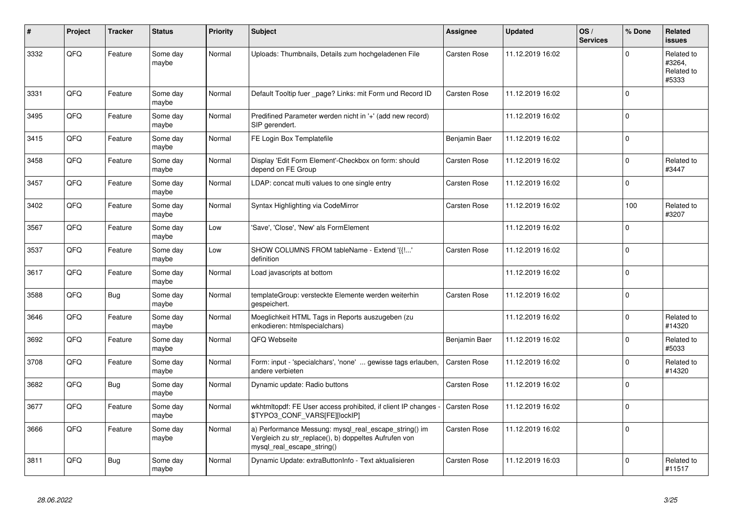| #    | Project | <b>Tracker</b> | <b>Status</b>     | <b>Priority</b> | <b>Subject</b>                                                                                                                               | Assignee            | <b>Updated</b>   | OS/<br><b>Services</b> | % Done         | Related<br><b>issues</b>                    |
|------|---------|----------------|-------------------|-----------------|----------------------------------------------------------------------------------------------------------------------------------------------|---------------------|------------------|------------------------|----------------|---------------------------------------------|
| 3332 | QFQ     | Feature        | Some day<br>maybe | Normal          | Uploads: Thumbnails, Details zum hochgeladenen File                                                                                          | Carsten Rose        | 11.12.2019 16:02 |                        | $\Omega$       | Related to<br>#3264,<br>Related to<br>#5333 |
| 3331 | QFQ     | Feature        | Some day<br>maybe | Normal          | Default Tooltip fuer page? Links: mit Form und Record ID                                                                                     | <b>Carsten Rose</b> | 11.12.2019 16:02 |                        | $\Omega$       |                                             |
| 3495 | QFQ     | Feature        | Some day<br>maybe | Normal          | Predifined Parameter werden nicht in '+' (add new record)<br>SIP gerendert.                                                                  |                     | 11.12.2019 16:02 |                        | $\Omega$       |                                             |
| 3415 | QFQ     | Feature        | Some day<br>maybe | Normal          | FE Login Box Templatefile                                                                                                                    | Benjamin Baer       | 11.12.2019 16:02 |                        | $\Omega$       |                                             |
| 3458 | QFQ     | Feature        | Some day<br>maybe | Normal          | Display 'Edit Form Element'-Checkbox on form: should<br>depend on FE Group                                                                   | Carsten Rose        | 11.12.2019 16:02 |                        | $\mathbf 0$    | Related to<br>#3447                         |
| 3457 | QFQ     | Feature        | Some day<br>maybe | Normal          | LDAP: concat multi values to one single entry                                                                                                | Carsten Rose        | 11.12.2019 16:02 |                        | $\Omega$       |                                             |
| 3402 | QFQ     | Feature        | Some day<br>maybe | Normal          | Syntax Highlighting via CodeMirror                                                                                                           | Carsten Rose        | 11.12.2019 16:02 |                        | 100            | Related to<br>#3207                         |
| 3567 | QFQ     | Feature        | Some day<br>maybe | Low             | 'Save', 'Close', 'New' als FormElement                                                                                                       |                     | 11.12.2019 16:02 |                        | $\Omega$       |                                             |
| 3537 | QFQ     | Feature        | Some day<br>maybe | Low             | SHOW COLUMNS FROM tableName - Extend '{{!'<br>definition                                                                                     | <b>Carsten Rose</b> | 11.12.2019 16:02 |                        | $\Omega$       |                                             |
| 3617 | QFQ     | Feature        | Some day<br>maybe | Normal          | Load javascripts at bottom                                                                                                                   |                     | 11.12.2019 16:02 |                        | $\Omega$       |                                             |
| 3588 | QFQ     | <b>Bug</b>     | Some day<br>maybe | Normal          | templateGroup: versteckte Elemente werden weiterhin<br>gespeichert.                                                                          | <b>Carsten Rose</b> | 11.12.2019 16:02 |                        | $\Omega$       |                                             |
| 3646 | QFQ     | Feature        | Some day<br>maybe | Normal          | Moeglichkeit HTML Tags in Reports auszugeben (zu<br>enkodieren: htmlspecialchars)                                                            |                     | 11.12.2019 16:02 |                        | $\mathbf 0$    | Related to<br>#14320                        |
| 3692 | QFQ     | Feature        | Some day<br>maybe | Normal          | QFQ Webseite                                                                                                                                 | Benjamin Baer       | 11.12.2019 16:02 |                        | $\Omega$       | Related to<br>#5033                         |
| 3708 | QFQ     | Feature        | Some day<br>maybe | Normal          | Form: input - 'specialchars', 'none'  gewisse tags erlauben,<br>andere verbieten                                                             | <b>Carsten Rose</b> | 11.12.2019 16:02 |                        | $\Omega$       | Related to<br>#14320                        |
| 3682 | QFQ     | <b>Bug</b>     | Some day<br>maybe | Normal          | Dynamic update: Radio buttons                                                                                                                | Carsten Rose        | 11.12.2019 16:02 |                        | $\Omega$       |                                             |
| 3677 | QFQ     | Feature        | Some day<br>maybe | Normal          | wkhtmitopdf: FE User access prohibited, if client IP changes<br>\$TYPO3_CONF_VARS[FE][lockIP]                                                | <b>Carsten Rose</b> | 11.12.2019 16:02 |                        | $\overline{0}$ |                                             |
| 3666 | QFQ     | Feature        | Some day<br>maybe | Normal          | a) Performance Messung: mysql_real_escape_string() im<br>Vergleich zu str replace(), b) doppeltes Aufrufen von<br>mysql_real_escape_string() | Carsten Rose        | 11.12.2019 16:02 |                        | $\Omega$       |                                             |
| 3811 | QFQ     | <b>Bug</b>     | Some day<br>maybe | Normal          | Dynamic Update: extraButtonInfo - Text aktualisieren                                                                                         | Carsten Rose        | 11.12.2019 16:03 |                        | $\Omega$       | Related to<br>#11517                        |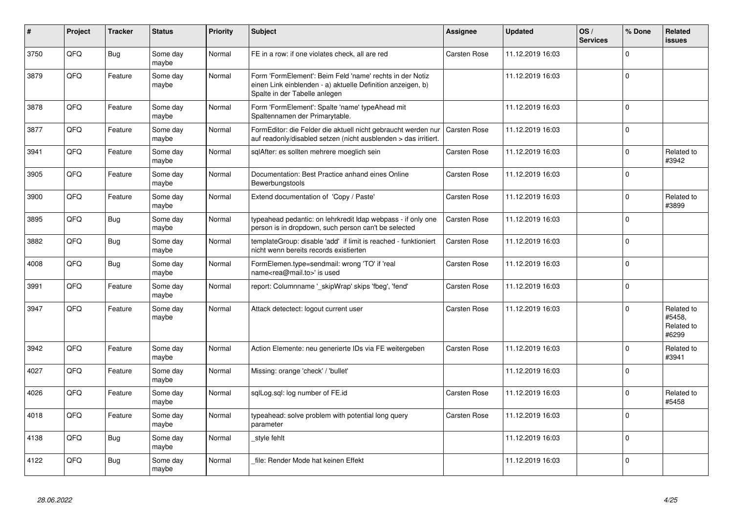| #    | <b>Project</b> | <b>Tracker</b> | <b>Status</b>     | <b>Priority</b> | <b>Subject</b>                                                                                                                                           | Assignee            | <b>Updated</b>   | OS/<br><b>Services</b> | % Done      | Related<br>issues                           |
|------|----------------|----------------|-------------------|-----------------|----------------------------------------------------------------------------------------------------------------------------------------------------------|---------------------|------------------|------------------------|-------------|---------------------------------------------|
| 3750 | QFQ            | <b>Bug</b>     | Some day<br>maybe | Normal          | FE in a row: if one violates check, all are red                                                                                                          | <b>Carsten Rose</b> | 11.12.2019 16:03 |                        | $\Omega$    |                                             |
| 3879 | QFQ            | Feature        | Some day<br>maybe | Normal          | Form 'FormElement': Beim Feld 'name' rechts in der Notiz<br>einen Link einblenden - a) aktuelle Definition anzeigen, b)<br>Spalte in der Tabelle anlegen |                     | 11.12.2019 16:03 |                        | $\Omega$    |                                             |
| 3878 | QFQ            | Feature        | Some day<br>maybe | Normal          | Form 'FormElement': Spalte 'name' typeAhead mit<br>Spaltennamen der Primarytable.                                                                        |                     | 11.12.2019 16:03 |                        | $\mathbf 0$ |                                             |
| 3877 | QFQ            | Feature        | Some day<br>maybe | Normal          | FormEditor: die Felder die aktuell nicht gebraucht werden nur<br>auf readonly/disabled setzen (nicht ausblenden > das irritiert.                         | <b>Carsten Rose</b> | 11.12.2019 16:03 |                        | $\mathbf 0$ |                                             |
| 3941 | QFQ            | Feature        | Some day<br>maybe | Normal          | sglAfter: es sollten mehrere moeglich sein                                                                                                               | Carsten Rose        | 11.12.2019 16:03 |                        | $\Omega$    | Related to<br>#3942                         |
| 3905 | QFQ            | Feature        | Some day<br>maybe | Normal          | Documentation: Best Practice anhand eines Online<br>Bewerbungstools                                                                                      | Carsten Rose        | 11.12.2019 16:03 |                        | $\Omega$    |                                             |
| 3900 | QFQ            | Feature        | Some day<br>maybe | Normal          | Extend documentation of 'Copy / Paste'                                                                                                                   | Carsten Rose        | 11.12.2019 16:03 |                        | $\Omega$    | Related to<br>#3899                         |
| 3895 | QFQ            | <b>Bug</b>     | Some day<br>maybe | Normal          | typeahead pedantic: on lehrkredit Idap webpass - if only one<br>person is in dropdown, such person can't be selected                                     | <b>Carsten Rose</b> | 11.12.2019 16:03 |                        | $\Omega$    |                                             |
| 3882 | QFQ            | <b>Bug</b>     | Some day<br>maybe | Normal          | templateGroup: disable 'add' if limit is reached - funktioniert<br>nicht wenn bereits records existierten                                                | <b>Carsten Rose</b> | 11.12.2019 16:03 |                        | $\mathbf 0$ |                                             |
| 4008 | QFQ            | Bug            | Some day<br>maybe | Normal          | FormElemen.type=sendmail: wrong 'TO' if 'real<br>name <rea@mail.to>' is used</rea@mail.to>                                                               | Carsten Rose        | 11.12.2019 16:03 |                        | $\mathbf 0$ |                                             |
| 3991 | QFQ            | Feature        | Some day<br>maybe | Normal          | report: Columnname ' skipWrap' skips 'fbeg', 'fend'                                                                                                      | Carsten Rose        | 11.12.2019 16:03 |                        | 0           |                                             |
| 3947 | QFQ            | Feature        | Some day<br>maybe | Normal          | Attack detectect: logout current user                                                                                                                    | <b>Carsten Rose</b> | 11.12.2019 16:03 |                        | $\Omega$    | Related to<br>#5458.<br>Related to<br>#6299 |
| 3942 | QFQ            | Feature        | Some day<br>maybe | Normal          | Action Elemente: neu generierte IDs via FE weitergeben                                                                                                   | Carsten Rose        | 11.12.2019 16:03 |                        | $\Omega$    | Related to<br>#3941                         |
| 4027 | QFQ            | Feature        | Some day<br>maybe | Normal          | Missing: orange 'check' / 'bullet'                                                                                                                       |                     | 11.12.2019 16:03 |                        | 0           |                                             |
| 4026 | QFQ            | Feature        | Some day<br>maybe | Normal          | sqlLog.sql: log number of FE.id                                                                                                                          | Carsten Rose        | 11.12.2019 16:03 |                        | $\Omega$    | Related to<br>#5458                         |
| 4018 | QFQ            | Feature        | Some day<br>maybe | Normal          | typeahead: solve problem with potential long query<br>parameter                                                                                          | <b>Carsten Rose</b> | 11.12.2019 16:03 |                        | $\Omega$    |                                             |
| 4138 | QFQ            | Bug            | Some day<br>maybe | Normal          | style fehlt                                                                                                                                              |                     | 11.12.2019 16:03 |                        | $\mathbf 0$ |                                             |
| 4122 | QFQ            | <b>Bug</b>     | Some day<br>maybe | Normal          | file: Render Mode hat keinen Effekt                                                                                                                      |                     | 11.12.2019 16:03 |                        | $\Omega$    |                                             |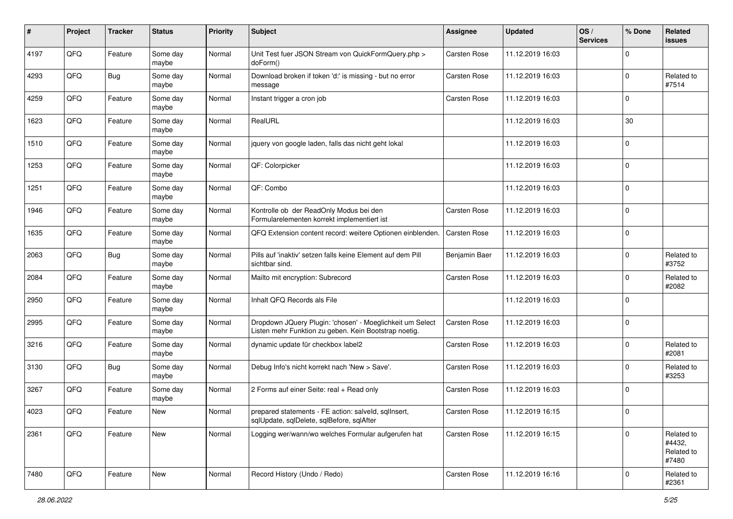| ∦    | Project | <b>Tracker</b> | <b>Status</b>     | <b>Priority</b> | <b>Subject</b>                                                                                                     | <b>Assignee</b>     | <b>Updated</b>   | OS/<br><b>Services</b> | % Done         | Related<br>issues                           |
|------|---------|----------------|-------------------|-----------------|--------------------------------------------------------------------------------------------------------------------|---------------------|------------------|------------------------|----------------|---------------------------------------------|
| 4197 | QFQ     | Feature        | Some day<br>maybe | Normal          | Unit Test fuer JSON Stream von QuickFormQuery.php ><br>doForm()                                                    | <b>Carsten Rose</b> | 11.12.2019 16:03 |                        | $\mathbf 0$    |                                             |
| 4293 | QFQ     | <b>Bug</b>     | Some day<br>maybe | Normal          | Download broken if token 'd:' is missing - but no error<br>message                                                 | Carsten Rose        | 11.12.2019 16:03 |                        | $\mathbf 0$    | Related to<br>#7514                         |
| 4259 | QFQ     | Feature        | Some day<br>maybe | Normal          | Instant trigger a cron job                                                                                         | Carsten Rose        | 11.12.2019 16:03 |                        | 0              |                                             |
| 1623 | QFQ     | Feature        | Some day<br>maybe | Normal          | RealURL                                                                                                            |                     | 11.12.2019 16:03 |                        | 30             |                                             |
| 1510 | QFQ     | Feature        | Some day<br>maybe | Normal          | jquery von google laden, falls das nicht geht lokal                                                                |                     | 11.12.2019 16:03 |                        | $\mathbf 0$    |                                             |
| 1253 | QFQ     | Feature        | Some day<br>maybe | Normal          | QF: Colorpicker                                                                                                    |                     | 11.12.2019 16:03 |                        | $\mathbf 0$    |                                             |
| 1251 | QFQ     | Feature        | Some day<br>maybe | Normal          | QF: Combo                                                                                                          |                     | 11.12.2019 16:03 |                        | $\mathbf 0$    |                                             |
| 1946 | QFQ     | Feature        | Some day<br>maybe | Normal          | Kontrolle ob der ReadOnly Modus bei den<br>Formularelementen korrekt implementiert ist                             | Carsten Rose        | 11.12.2019 16:03 |                        | 0              |                                             |
| 1635 | QFQ     | Feature        | Some day<br>maybe | Normal          | QFQ Extension content record: weitere Optionen einblenden.                                                         | Carsten Rose        | 11.12.2019 16:03 |                        | 0              |                                             |
| 2063 | QFQ     | <b>Bug</b>     | Some day<br>maybe | Normal          | Pills auf 'inaktiv' setzen falls keine Element auf dem Pill<br>sichtbar sind.                                      | Benjamin Baer       | 11.12.2019 16:03 |                        | 0              | Related to<br>#3752                         |
| 2084 | QFQ     | Feature        | Some day<br>maybe | Normal          | Mailto mit encryption: Subrecord                                                                                   | Carsten Rose        | 11.12.2019 16:03 |                        | 0              | Related to<br>#2082                         |
| 2950 | QFQ     | Feature        | Some day<br>maybe | Normal          | Inhalt QFQ Records als File                                                                                        |                     | 11.12.2019 16:03 |                        | $\mathbf 0$    |                                             |
| 2995 | QFQ     | Feature        | Some day<br>maybe | Normal          | Dropdown JQuery Plugin: 'chosen' - Moeglichkeit um Select<br>Listen mehr Funktion zu geben. Kein Bootstrap noetig. | Carsten Rose        | 11.12.2019 16:03 |                        | 0              |                                             |
| 3216 | QFQ     | Feature        | Some day<br>maybe | Normal          | dynamic update für checkbox label2                                                                                 | Carsten Rose        | 11.12.2019 16:03 |                        | $\mathbf 0$    | Related to<br>#2081                         |
| 3130 | QFQ     | <b>Bug</b>     | Some day<br>maybe | Normal          | Debug Info's nicht korrekt nach 'New > Save'.                                                                      | Carsten Rose        | 11.12.2019 16:03 |                        | $\mathbf 0$    | Related to<br>#3253                         |
| 3267 | QFQ     | Feature        | Some day<br>maybe | Normal          | 2 Forms auf einer Seite: real + Read only                                                                          | Carsten Rose        | 11.12.2019 16:03 |                        | 0              |                                             |
| 4023 | QFQ     | Feature        | New               | Normal          | prepared statements - FE action: salveld, sqllnsert,<br>sqlUpdate, sqlDelete, sqlBefore, sqlAfter                  | Carsten Rose        | 11.12.2019 16:15 |                        | $\mathbf 0$    |                                             |
| 2361 | QFQ     | Feature        | New               | Normal          | Logging wer/wann/wo welches Formular aufgerufen hat                                                                | Carsten Rose        | 11.12.2019 16:15 |                        | 0              | Related to<br>#4432,<br>Related to<br>#7480 |
| 7480 | QFG     | Feature        | New               | Normal          | Record History (Undo / Redo)                                                                                       | Carsten Rose        | 11.12.2019 16:16 |                        | $\overline{0}$ | Related to<br>#2361                         |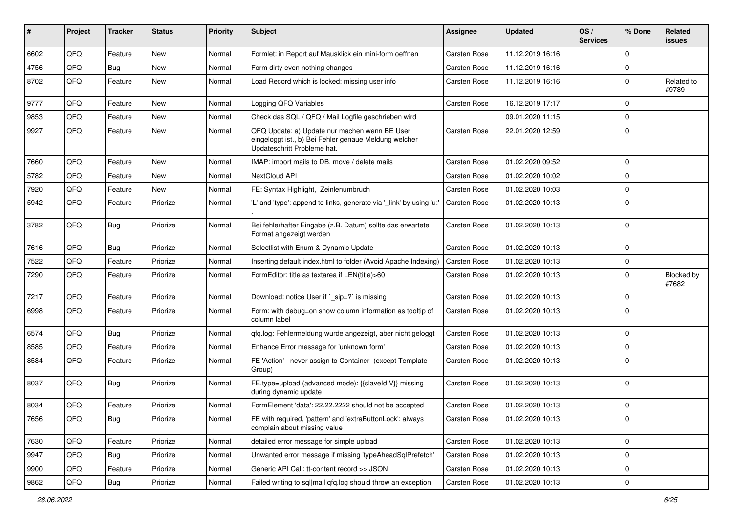| #    | Project | <b>Tracker</b> | <b>Status</b> | <b>Priority</b> | <b>Subject</b>                                                                                                                        | Assignee            | <b>Updated</b>   | OS/<br><b>Services</b> | % Done       | Related<br><b>issues</b> |
|------|---------|----------------|---------------|-----------------|---------------------------------------------------------------------------------------------------------------------------------------|---------------------|------------------|------------------------|--------------|--------------------------|
| 6602 | QFQ     | Feature        | New           | Normal          | Formlet: in Report auf Mausklick ein mini-form oeffnen                                                                                | Carsten Rose        | 11.12.2019 16:16 |                        | $\mathbf 0$  |                          |
| 4756 | QFQ     | Bug            | New           | Normal          | Form dirty even nothing changes                                                                                                       | Carsten Rose        | 11.12.2019 16:16 |                        | $\mathbf 0$  |                          |
| 8702 | QFQ     | Feature        | New           | Normal          | Load Record which is locked: missing user info                                                                                        | Carsten Rose        | 11.12.2019 16:16 |                        | $\mathbf 0$  | Related to<br>#9789      |
| 9777 | QFQ     | Feature        | New           | Normal          | Logging QFQ Variables                                                                                                                 | Carsten Rose        | 16.12.2019 17:17 |                        | $\mathbf 0$  |                          |
| 9853 | QFQ     | Feature        | New           | Normal          | Check das SQL / QFQ / Mail Logfile geschrieben wird                                                                                   |                     | 09.01.2020 11:15 |                        | $\mathbf 0$  |                          |
| 9927 | QFQ     | Feature        | New           | Normal          | QFQ Update: a) Update nur machen wenn BE User<br>eingeloggt ist., b) Bei Fehler genaue Meldung welcher<br>Updateschritt Probleme hat. | Carsten Rose        | 22.01.2020 12:59 |                        | $\mathbf 0$  |                          |
| 7660 | QFQ     | Feature        | New           | Normal          | IMAP: import mails to DB, move / delete mails                                                                                         | Carsten Rose        | 01.02.2020 09:52 |                        | $\mathbf 0$  |                          |
| 5782 | QFQ     | Feature        | New           | Normal          | NextCloud API                                                                                                                         | Carsten Rose        | 01.02.2020 10:02 |                        | $\mathbf 0$  |                          |
| 7920 | QFQ     | Feature        | New           | Normal          | FE: Syntax Highlight, Zeinlenumbruch                                                                                                  | Carsten Rose        | 01.02.2020 10:03 |                        | $\mathbf 0$  |                          |
| 5942 | QFQ     | Feature        | Priorize      | Normal          | 'L' and 'type': append to links, generate via '_link' by using 'u:'                                                                   | <b>Carsten Rose</b> | 01.02.2020 10:13 |                        | $\Omega$     |                          |
| 3782 | QFQ     | <b>Bug</b>     | Priorize      | Normal          | Bei fehlerhafter Eingabe (z.B. Datum) sollte das erwartete<br>Format angezeigt werden                                                 | <b>Carsten Rose</b> | 01.02.2020 10:13 |                        | $\mathbf 0$  |                          |
| 7616 | QFQ     | <b>Bug</b>     | Priorize      | Normal          | Selectlist with Enum & Dynamic Update                                                                                                 | Carsten Rose        | 01.02.2020 10:13 |                        | $\mathbf 0$  |                          |
| 7522 | QFQ     | Feature        | Priorize      | Normal          | Inserting default index.html to folder (Avoid Apache Indexing)                                                                        | Carsten Rose        | 01.02.2020 10:13 |                        | $\mathbf 0$  |                          |
| 7290 | QFQ     | Feature        | Priorize      | Normal          | FormEditor: title as textarea if LEN(title)>60                                                                                        | Carsten Rose        | 01.02.2020 10:13 |                        | 0            | Blocked by<br>#7682      |
| 7217 | QFQ     | Feature        | Priorize      | Normal          | Download: notice User if `_sip=?` is missing                                                                                          | Carsten Rose        | 01.02.2020 10:13 |                        | $\mathbf 0$  |                          |
| 6998 | QFQ     | Feature        | Priorize      | Normal          | Form: with debug=on show column information as tooltip of<br>column label                                                             | Carsten Rose        | 01.02.2020 10:13 |                        | $\mathbf 0$  |                          |
| 6574 | QFQ     | <b>Bug</b>     | Priorize      | Normal          | gfg.log: Fehlermeldung wurde angezeigt, aber nicht geloggt                                                                            | Carsten Rose        | 01.02.2020 10:13 |                        | $\mathbf 0$  |                          |
| 8585 | QFQ     | Feature        | Priorize      | Normal          | Enhance Error message for 'unknown form'                                                                                              | Carsten Rose        | 01.02.2020 10:13 |                        | 0            |                          |
| 8584 | QFQ     | Feature        | Priorize      | Normal          | FE 'Action' - never assign to Container (except Template<br>Group)                                                                    | Carsten Rose        | 01.02.2020 10:13 |                        | $\mathbf 0$  |                          |
| 8037 | QFQ     | <b>Bug</b>     | Priorize      | Normal          | FE.type=upload (advanced mode): {{slaveld:V}} missing<br>during dynamic update                                                        | Carsten Rose        | 01.02.2020 10:13 |                        | $\mathbf 0$  |                          |
| 8034 | QFQ     | Feature        | Priorize      | Normal          | FormElement 'data': 22.22.2222 should not be accepted                                                                                 | Carsten Rose        | 01.02.2020 10:13 |                        | $\mathbf 0$  |                          |
| 7656 | QFQ     | <b>Bug</b>     | Priorize      | Normal          | FE with required, 'pattern' and 'extraButtonLock': always<br>complain about missing value                                             | Carsten Rose        | 01.02.2020 10:13 |                        | 0            |                          |
| 7630 | QFQ     | Feature        | Priorize      | Normal          | detailed error message for simple upload                                                                                              | Carsten Rose        | 01.02.2020 10:13 |                        | 0            |                          |
| 9947 | QFQ     | <b>Bug</b>     | Priorize      | Normal          | Unwanted error message if missing 'typeAheadSqlPrefetch'                                                                              | Carsten Rose        | 01.02.2020 10:13 |                        | $\mathsf{O}$ |                          |
| 9900 | QFQ     | Feature        | Priorize      | Normal          | Generic API Call: tt-content record >> JSON                                                                                           | Carsten Rose        | 01.02.2020 10:13 |                        | 0            |                          |
| 9862 | QFG     | Bug            | Priorize      | Normal          | Failed writing to sql mail qfq.log should throw an exception                                                                          | Carsten Rose        | 01.02.2020 10:13 |                        | $\pmb{0}$    |                          |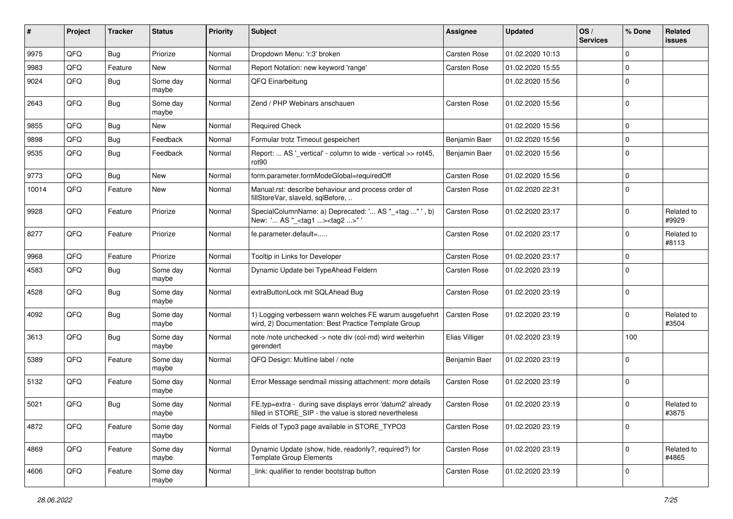| #     | Project | <b>Tracker</b> | <b>Status</b>     | <b>Priority</b> | <b>Subject</b>                                                                                                       | <b>Assignee</b>     | <b>Updated</b>   | OS/<br><b>Services</b> | % Done      | Related<br>issues   |
|-------|---------|----------------|-------------------|-----------------|----------------------------------------------------------------------------------------------------------------------|---------------------|------------------|------------------------|-------------|---------------------|
| 9975  | QFQ     | <b>Bug</b>     | Priorize          | Normal          | Dropdown Menu: 'r:3' broken                                                                                          | Carsten Rose        | 01.02.2020 10:13 |                        | $\mathbf 0$ |                     |
| 9983  | QFQ     | Feature        | New               | Normal          | Report Notation: new keyword 'range'                                                                                 | Carsten Rose        | 01.02.2020 15:55 |                        | $\mathbf 0$ |                     |
| 9024  | QFQ     | Bug            | Some day<br>maybe | Normal          | QFQ Einarbeitung                                                                                                     |                     | 01.02.2020 15:56 |                        | $\mathbf 0$ |                     |
| 2643  | QFQ     | <b>Bug</b>     | Some day<br>maybe | Normal          | Zend / PHP Webinars anschauen                                                                                        | Carsten Rose        | 01.02.2020 15:56 |                        | $\mathbf 0$ |                     |
| 9855  | QFQ     | Bug            | New               | Normal          | <b>Required Check</b>                                                                                                |                     | 01.02.2020 15:56 |                        | 0           |                     |
| 9898  | QFQ     | Bug            | Feedback          | Normal          | Formular trotz Timeout gespeichert                                                                                   | Benjamin Baer       | 01.02.2020 15:56 |                        | $\mathbf 0$ |                     |
| 9535  | QFQ     | <b>Bug</b>     | Feedback          | Normal          | Report:  AS '_vertical' - column to wide - vertical >> rot45,<br>rot <sub>90</sub>                                   | Benjamin Baer       | 01.02.2020 15:56 |                        | 0           |                     |
| 9773  | QFQ     | <b>Bug</b>     | <b>New</b>        | Normal          | form.parameter.formModeGlobal=requiredOff                                                                            | Carsten Rose        | 01.02.2020 15:56 |                        | $\mathbf 0$ |                     |
| 10014 | QFQ     | Feature        | <b>New</b>        | Normal          | Manual.rst: describe behaviour and process order of<br>fillStoreVar, slaveId, sqlBefore,                             | Carsten Rose        | 01.02.2020 22:31 |                        | $\mathbf 0$ |                     |
| 9928  | QFQ     | Feature        | Priorize          | Normal          | SpecialColumnName: a) Deprecated: ' AS "_+tag " ', b)<br>New: ' AS "_ <tag1><tag2>"'</tag2></tag1>                   | Carsten Rose        | 01.02.2020 23:17 |                        | $\mathbf 0$ | Related to<br>#9929 |
| 8277  | QFQ     | Feature        | Priorize          | Normal          | fe.parameter.default=                                                                                                | Carsten Rose        | 01.02.2020 23:17 |                        | 0           | Related to<br>#8113 |
| 9968  | QFQ     | Feature        | Priorize          | Normal          | Tooltip in Links for Developer                                                                                       | Carsten Rose        | 01.02.2020 23:17 |                        | $\mathbf 0$ |                     |
| 4583  | QFQ     | Bug            | Some day<br>maybe | Normal          | Dynamic Update bei TypeAhead Feldern                                                                                 | Carsten Rose        | 01.02.2020 23:19 |                        | $\mathbf 0$ |                     |
| 4528  | QFQ     | Bug            | Some day<br>maybe | Normal          | extraButtonLock mit SQLAhead Bug                                                                                     | Carsten Rose        | 01.02.2020 23:19 |                        | $\Omega$    |                     |
| 4092  | QFQ     | <b>Bug</b>     | Some day<br>maybe | Normal          | 1) Logging verbessern wann welches FE warum ausgefuehrt<br>wird, 2) Documentation: Best Practice Template Group      | <b>Carsten Rose</b> | 01.02.2020 23:19 |                        | $\mathbf 0$ | Related to<br>#3504 |
| 3613  | QFQ     | <b>Bug</b>     | Some day<br>maybe | Normal          | note /note unchecked -> note div (col-md) wird weiterhin<br>gerendert                                                | Elias Villiger      | 01.02.2020 23:19 |                        | 100         |                     |
| 5389  | QFQ     | Feature        | Some day<br>maybe | Normal          | QFQ Design: Multline label / note                                                                                    | Benjamin Baer       | 01.02.2020 23:19 |                        | 0           |                     |
| 5132  | QFQ     | Feature        | Some day<br>maybe | Normal          | Error Message sendmail missing attachment: more details                                                              | Carsten Rose        | 01.02.2020 23:19 |                        | 0           |                     |
| 5021  | QFQ     | <b>Bug</b>     | Some day<br>maybe | Normal          | FE.typ=extra - during save displays error 'datum2' already<br>filled in STORE SIP - the value is stored nevertheless | <b>Carsten Rose</b> | 01.02.2020 23:19 |                        | $\mathbf 0$ | Related to<br>#3875 |
| 4872  | QFQ     | Feature        | Some day<br>maybe | Normal          | Fields of Typo3 page available in STORE_TYPO3                                                                        | Carsten Rose        | 01.02.2020 23:19 |                        | 0           |                     |
| 4869  | QFQ     | Feature        | Some day<br>maybe | Normal          | Dynamic Update (show, hide, readonly?, required?) for<br><b>Template Group Elements</b>                              | Carsten Rose        | 01.02.2020 23:19 |                        | 0           | Related to<br>#4865 |
| 4606  | QFG     | Feature        | Some day<br>maybe | Normal          | link: qualifier to render bootstrap button                                                                           | Carsten Rose        | 01.02.2020 23:19 |                        | 0           |                     |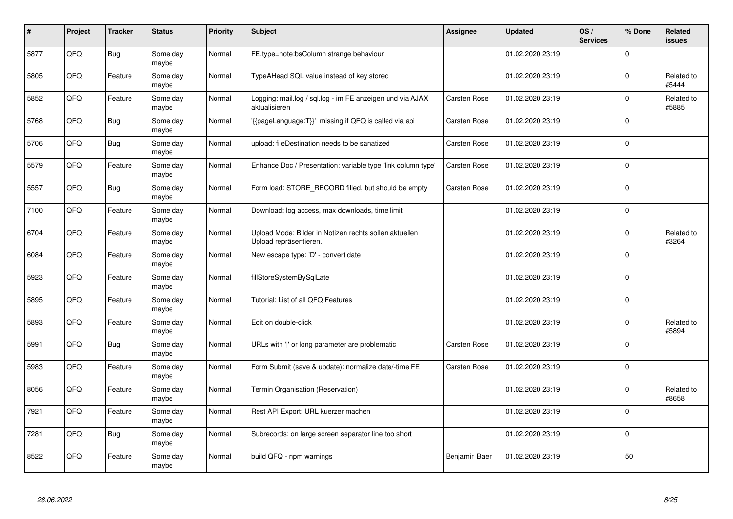| #    | Project    | <b>Tracker</b> | <b>Status</b>     | <b>Priority</b> | <b>Subject</b>                                                                   | <b>Assignee</b>     | <b>Updated</b>   | OS/<br><b>Services</b> | % Done      | Related<br>issues   |
|------|------------|----------------|-------------------|-----------------|----------------------------------------------------------------------------------|---------------------|------------------|------------------------|-------------|---------------------|
| 5877 | QFQ        | <b>Bug</b>     | Some day<br>maybe | Normal          | FE.type=note:bsColumn strange behaviour                                          |                     | 01.02.2020 23:19 |                        | $\Omega$    |                     |
| 5805 | QFQ        | Feature        | Some day<br>maybe | Normal          | TypeAHead SQL value instead of key stored                                        |                     | 01.02.2020 23:19 |                        | $\Omega$    | Related to<br>#5444 |
| 5852 | QFQ        | Feature        | Some day<br>maybe | Normal          | Logging: mail.log / sql.log - im FE anzeigen und via AJAX<br>aktualisieren       | <b>Carsten Rose</b> | 01.02.2020 23:19 |                        | $\Omega$    | Related to<br>#5885 |
| 5768 | QFQ        | <b>Bug</b>     | Some day<br>maybe | Normal          | '{{pageLanguage:T}}' missing if QFQ is called via api                            | Carsten Rose        | 01.02.2020 23:19 |                        | $\Omega$    |                     |
| 5706 | QFQ        | <b>Bug</b>     | Some day<br>maybe | Normal          | upload: fileDestination needs to be sanatized                                    | <b>Carsten Rose</b> | 01.02.2020 23:19 |                        | 0           |                     |
| 5579 | <b>OFO</b> | Feature        | Some day<br>maybe | Normal          | Enhance Doc / Presentation: variable type 'link column type'                     | Carsten Rose        | 01.02.2020 23:19 |                        | $\Omega$    |                     |
| 5557 | QFQ        | <b>Bug</b>     | Some day<br>maybe | Normal          | Form load: STORE_RECORD filled, but should be empty                              | Carsten Rose        | 01.02.2020 23:19 |                        | $\Omega$    |                     |
| 7100 | QFQ        | Feature        | Some day<br>maybe | Normal          | Download: log access, max downloads, time limit                                  |                     | 01.02.2020 23:19 |                        | $\Omega$    |                     |
| 6704 | QFQ        | Feature        | Some day<br>maybe | Normal          | Upload Mode: Bilder in Notizen rechts sollen aktuellen<br>Upload repräsentieren. |                     | 01.02.2020 23:19 |                        | $\Omega$    | Related to<br>#3264 |
| 6084 | QFQ        | Feature        | Some day<br>maybe | Normal          | New escape type: 'D' - convert date                                              |                     | 01.02.2020 23:19 |                        | $\Omega$    |                     |
| 5923 | QFQ        | Feature        | Some day<br>maybe | Normal          | fillStoreSystemBySqlLate                                                         |                     | 01.02.2020 23:19 |                        | $\mathbf 0$ |                     |
| 5895 | QFQ        | Feature        | Some day<br>maybe | Normal          | Tutorial: List of all QFQ Features                                               |                     | 01.02.2020 23:19 |                        | $\mathbf 0$ |                     |
| 5893 | QFQ        | Feature        | Some day<br>maybe | Normal          | Edit on double-click                                                             |                     | 01.02.2020 23:19 |                        | $\Omega$    | Related to<br>#5894 |
| 5991 | QFQ        | <b>Bug</b>     | Some day<br>maybe | Normal          | URLs with ' ' or long parameter are problematic                                  | <b>Carsten Rose</b> | 01.02.2020 23:19 |                        | $\mathbf 0$ |                     |
| 5983 | QFQ        | Feature        | Some day<br>maybe | Normal          | Form Submit (save & update): normalize date/-time FE                             | Carsten Rose        | 01.02.2020 23:19 |                        | $\Omega$    |                     |
| 8056 | QFQ        | Feature        | Some day<br>maybe | Normal          | Termin Organisation (Reservation)                                                |                     | 01.02.2020 23:19 |                        | $\Omega$    | Related to<br>#8658 |
| 7921 | QFQ        | Feature        | Some day<br>maybe | Normal          | Rest API Export: URL kuerzer machen                                              |                     | 01.02.2020 23:19 |                        | $\Omega$    |                     |
| 7281 | QFQ        | <b>Bug</b>     | Some day<br>maybe | Normal          | Subrecords: on large screen separator line too short                             |                     | 01.02.2020 23:19 |                        | $\mathbf 0$ |                     |
| 8522 | QFQ        | Feature        | Some day<br>maybe | Normal          | build QFQ - npm warnings                                                         | Benjamin Baer       | 01.02.2020 23:19 |                        | 50          |                     |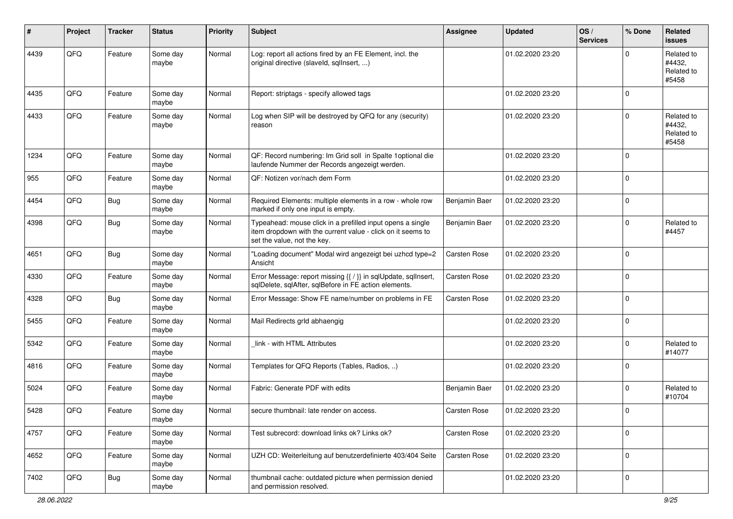| #    | Project | <b>Tracker</b> | <b>Status</b>     | <b>Priority</b> | <b>Subject</b>                                                                                                                                           | <b>Assignee</b>     | <b>Updated</b>   | OS/<br><b>Services</b> | % Done      | Related<br><b>issues</b>                    |
|------|---------|----------------|-------------------|-----------------|----------------------------------------------------------------------------------------------------------------------------------------------------------|---------------------|------------------|------------------------|-------------|---------------------------------------------|
| 4439 | QFQ     | Feature        | Some day<br>maybe | Normal          | Log: report all actions fired by an FE Element, incl. the<br>original directive (slaveld, sqllnsert, )                                                   |                     | 01.02.2020 23:20 |                        | 0           | Related to<br>#4432,<br>Related to<br>#5458 |
| 4435 | QFQ     | Feature        | Some day<br>maybe | Normal          | Report: striptags - specify allowed tags                                                                                                                 |                     | 01.02.2020 23:20 |                        | $\Omega$    |                                             |
| 4433 | QFQ     | Feature        | Some day<br>maybe | Normal          | Log when SIP will be destroyed by QFQ for any (security)<br>reason                                                                                       |                     | 01.02.2020 23:20 |                        | $\Omega$    | Related to<br>#4432,<br>Related to<br>#5458 |
| 1234 | QFQ     | Feature        | Some day<br>maybe | Normal          | QF: Record numbering: Im Grid soll in Spalte 1optional die<br>laufende Nummer der Records angezeigt werden.                                              |                     | 01.02.2020 23:20 |                        | $\Omega$    |                                             |
| 955  | QFQ     | Feature        | Some day<br>maybe | Normal          | QF: Notizen vor/nach dem Form                                                                                                                            |                     | 01.02.2020 23:20 |                        | $\Omega$    |                                             |
| 4454 | QFQ     | Bug            | Some day<br>maybe | Normal          | Required Elements: multiple elements in a row - whole row<br>marked if only one input is empty.                                                          | Benjamin Baer       | 01.02.2020 23:20 |                        | $\mathbf 0$ |                                             |
| 4398 | QFQ     | <b>Bug</b>     | Some day<br>maybe | Normal          | Typeahead: mouse click in a prefilled input opens a single<br>item dropdown with the current value - click on it seems to<br>set the value, not the key. | Benjamin Baer       | 01.02.2020 23:20 |                        | $\Omega$    | Related to<br>#4457                         |
| 4651 | QFQ     | <b>Bug</b>     | Some day<br>maybe | Normal          | "Loading document" Modal wird angezeigt bei uzhcd type=2<br>Ansicht                                                                                      | <b>Carsten Rose</b> | 01.02.2020 23:20 |                        | $\mathbf 0$ |                                             |
| 4330 | QFQ     | Feature        | Some day<br>maybe | Normal          | Error Message: report missing {{ / }} in sqlUpdate, sqlInsert,<br>sqlDelete, sqlAfter, sqlBefore in FE action elements.                                  | Carsten Rose        | 01.02.2020 23:20 |                        | 0           |                                             |
| 4328 | QFQ     | <b>Bug</b>     | Some day<br>maybe | Normal          | Error Message: Show FE name/number on problems in FE                                                                                                     | Carsten Rose        | 01.02.2020 23:20 |                        | $\Omega$    |                                             |
| 5455 | QFQ     | Feature        | Some day<br>maybe | Normal          | Mail Redirects grld abhaengig                                                                                                                            |                     | 01.02.2020 23:20 |                        | $\Omega$    |                                             |
| 5342 | QFQ     | Feature        | Some day<br>maybe | Normal          | link - with HTML Attributes                                                                                                                              |                     | 01.02.2020 23:20 |                        | $\Omega$    | Related to<br>#14077                        |
| 4816 | QFQ     | Feature        | Some day<br>maybe | Normal          | Templates for QFQ Reports (Tables, Radios, )                                                                                                             |                     | 01.02.2020 23:20 |                        | $\Omega$    |                                             |
| 5024 | QFQ     | Feature        | Some day<br>maybe | Normal          | Fabric: Generate PDF with edits                                                                                                                          | Benjamin Baer       | 01.02.2020 23:20 |                        | 0           | Related to<br>#10704                        |
| 5428 | QFQ     | Feature        | Some day<br>maybe | Normal          | secure thumbnail: late render on access.                                                                                                                 | <b>Carsten Rose</b> | 01.02.2020 23:20 |                        | $\mathbf 0$ |                                             |
| 4757 | QFG     | Feature        | Some day<br>maybe | Normal          | Test subrecord: download links ok? Links ok?                                                                                                             | Carsten Rose        | 01.02.2020 23:20 |                        | $\Omega$    |                                             |
| 4652 | QFG     | Feature        | Some day<br>maybe | Normal          | UZH CD: Weiterleitung auf benutzerdefinierte 403/404 Seite                                                                                               | Carsten Rose        | 01.02.2020 23:20 |                        | $\mathbf 0$ |                                             |
| 7402 | QFG     | <b>Bug</b>     | Some day<br>maybe | Normal          | thumbnail cache: outdated picture when permission denied<br>and permission resolved.                                                                     |                     | 01.02.2020 23:20 |                        | 0           |                                             |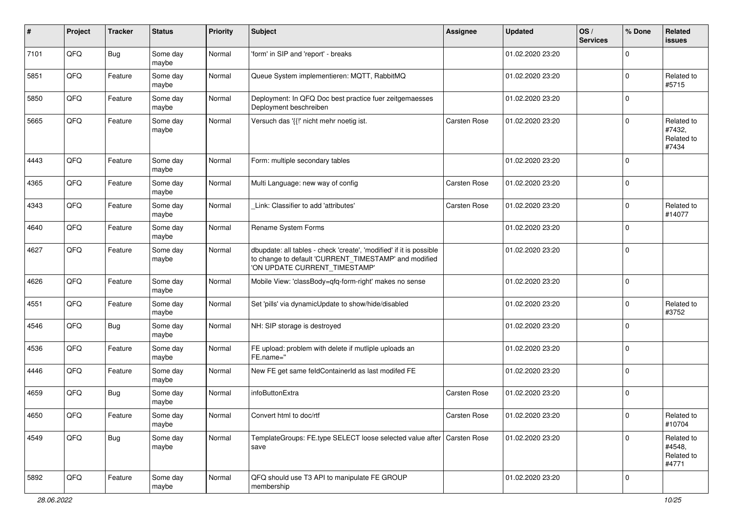| ∦    | Project | <b>Tracker</b> | <b>Status</b>     | <b>Priority</b> | <b>Subject</b>                                                                                                                                                | <b>Assignee</b> | <b>Updated</b>   | OS/<br><b>Services</b> | % Done      | Related<br>issues                           |
|------|---------|----------------|-------------------|-----------------|---------------------------------------------------------------------------------------------------------------------------------------------------------------|-----------------|------------------|------------------------|-------------|---------------------------------------------|
| 7101 | QFQ     | <b>Bug</b>     | Some day<br>maybe | Normal          | 'form' in SIP and 'report' - breaks                                                                                                                           |                 | 01.02.2020 23:20 |                        | $\Omega$    |                                             |
| 5851 | QFQ     | Feature        | Some day<br>maybe | Normal          | Queue System implementieren: MQTT, RabbitMQ                                                                                                                   |                 | 01.02.2020 23:20 |                        | $\Omega$    | Related to<br>#5715                         |
| 5850 | QFQ     | Feature        | Some day<br>maybe | Normal          | Deployment: In QFQ Doc best practice fuer zeitgemaesses<br>Deployment beschreiben                                                                             |                 | 01.02.2020 23:20 |                        | $\Omega$    |                                             |
| 5665 | QFQ     | Feature        | Some day<br>maybe | Normal          | Versuch das '{{!' nicht mehr noetig ist.                                                                                                                      | Carsten Rose    | 01.02.2020 23:20 |                        | $\Omega$    | Related to<br>#7432,<br>Related to<br>#7434 |
| 4443 | QFQ     | Feature        | Some day<br>maybe | Normal          | Form: multiple secondary tables                                                                                                                               |                 | 01.02.2020 23:20 |                        | $\Omega$    |                                             |
| 4365 | QFQ     | Feature        | Some day<br>maybe | Normal          | Multi Language: new way of config                                                                                                                             | Carsten Rose    | 01.02.2020 23:20 |                        | $\Omega$    |                                             |
| 4343 | QFQ     | Feature        | Some day<br>maybe | Normal          | Link: Classifier to add 'attributes'                                                                                                                          | Carsten Rose    | 01.02.2020 23:20 |                        | $\Omega$    | Related to<br>#14077                        |
| 4640 | QFQ     | Feature        | Some day<br>maybe | Normal          | Rename System Forms                                                                                                                                           |                 | 01.02.2020 23:20 |                        | $\Omega$    |                                             |
| 4627 | QFQ     | Feature        | Some day<br>maybe | Normal          | dbupdate: all tables - check 'create', 'modified' if it is possible<br>to change to default 'CURRENT_TIMESTAMP' and modified<br>'ON UPDATE CURRENT_TIMESTAMP' |                 | 01.02.2020 23:20 |                        | $\Omega$    |                                             |
| 4626 | QFQ     | Feature        | Some day<br>maybe | Normal          | Mobile View: 'classBody=qfq-form-right' makes no sense                                                                                                        |                 | 01.02.2020 23:20 |                        | $\Omega$    |                                             |
| 4551 | QFQ     | Feature        | Some day<br>maybe | Normal          | Set 'pills' via dynamicUpdate to show/hide/disabled                                                                                                           |                 | 01.02.2020 23:20 |                        | $\Omega$    | Related to<br>#3752                         |
| 4546 | QFQ     | Bug            | Some day<br>maybe | Normal          | NH: SIP storage is destroyed                                                                                                                                  |                 | 01.02.2020 23:20 |                        | $\Omega$    |                                             |
| 4536 | QFQ     | Feature        | Some day<br>maybe | Normal          | FE upload: problem with delete if mutliple uploads an<br>FE.name="                                                                                            |                 | 01.02.2020 23:20 |                        | $\Omega$    |                                             |
| 4446 | QFQ     | Feature        | Some day<br>maybe | Normal          | New FE get same feldContainerId as last modifed FE                                                                                                            |                 | 01.02.2020 23:20 |                        | $\Omega$    |                                             |
| 4659 | QFQ     | <b>Bug</b>     | Some day<br>maybe | Normal          | infoButtonExtra                                                                                                                                               | Carsten Rose    | 01.02.2020 23:20 |                        | $\Omega$    |                                             |
| 4650 | QFG     | Feature        | Some day<br>maybe | Normal          | Convert html to doc/rtf                                                                                                                                       | Carsten Rose    | 01.02.2020 23:20 |                        | $\vert$ 0   | Related to<br>#10704                        |
| 4549 | QFQ     | <b>Bug</b>     | Some day<br>maybe | Normal          | TemplateGroups: FE.type SELECT loose selected value after Carsten Rose<br>save                                                                                |                 | 01.02.2020 23:20 |                        | $\mathbf 0$ | Related to<br>#4548,<br>Related to<br>#4771 |
| 5892 | QFQ     | Feature        | Some day<br>maybe | Normal          | QFQ should use T3 API to manipulate FE GROUP<br>membership                                                                                                    |                 | 01.02.2020 23:20 |                        | 0           |                                             |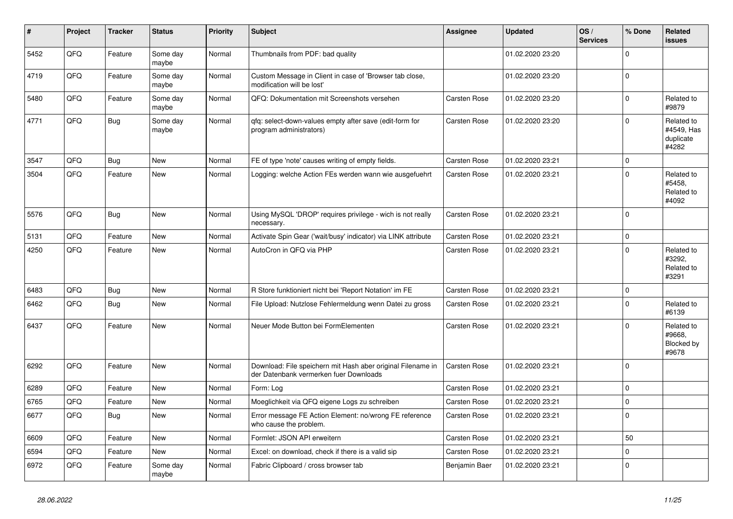| #    | <b>Project</b> | <b>Tracker</b> | <b>Status</b>     | <b>Priority</b> | <b>Subject</b>                                                                                        | Assignee            | <b>Updated</b>   | OS/<br><b>Services</b> | % Done         | Related<br>issues                              |
|------|----------------|----------------|-------------------|-----------------|-------------------------------------------------------------------------------------------------------|---------------------|------------------|------------------------|----------------|------------------------------------------------|
| 5452 | QFQ            | Feature        | Some day<br>maybe | Normal          | Thumbnails from PDF: bad quality                                                                      |                     | 01.02.2020 23:20 |                        | $\Omega$       |                                                |
| 4719 | QFQ            | Feature        | Some day<br>maybe | Normal          | Custom Message in Client in case of 'Browser tab close,<br>modification will be lost'                 |                     | 01.02.2020 23:20 |                        | $\Omega$       |                                                |
| 5480 | QFQ            | Feature        | Some day<br>maybe | Normal          | QFQ: Dokumentation mit Screenshots versehen                                                           | <b>Carsten Rose</b> | 01.02.2020 23:20 |                        | $\Omega$       | Related to<br>#9879                            |
| 4771 | QFQ            | Bug            | Some day<br>maybe | Normal          | qfq: select-down-values empty after save (edit-form for<br>program administrators)                    | <b>Carsten Rose</b> | 01.02.2020 23:20 |                        | $\Omega$       | Related to<br>#4549, Has<br>duplicate<br>#4282 |
| 3547 | QFQ            | Bug            | New               | Normal          | FE of type 'note' causes writing of empty fields.                                                     | Carsten Rose        | 01.02.2020 23:21 |                        | $\mathbf 0$    |                                                |
| 3504 | QFQ            | Feature        | New               | Normal          | Logging: welche Action FEs werden wann wie ausgefuehrt                                                | Carsten Rose        | 01.02.2020 23:21 |                        | $\Omega$       | Related to<br>#5458,<br>Related to<br>#4092    |
| 5576 | QFQ            | Bug            | New               | Normal          | Using MySQL 'DROP' requires privilege - wich is not really<br>necessary.                              | Carsten Rose        | 01.02.2020 23:21 |                        | $\overline{0}$ |                                                |
| 5131 | QFQ            | Feature        | <b>New</b>        | Normal          | Activate Spin Gear ('wait/busy' indicator) via LINK attribute                                         | Carsten Rose        | 01.02.2020 23:21 |                        | $\mathbf 0$    |                                                |
| 4250 | QFQ            | Feature        | New               | Normal          | AutoCron in QFQ via PHP                                                                               | Carsten Rose        | 01.02.2020 23:21 |                        | $\Omega$       | Related to<br>#3292,<br>Related to<br>#3291    |
| 6483 | QFQ            | Bug            | <b>New</b>        | Normal          | R Store funktioniert nicht bei 'Report Notation' im FE                                                | Carsten Rose        | 01.02.2020 23:21 |                        | $\Omega$       |                                                |
| 6462 | QFQ            | <b>Bug</b>     | New               | Normal          | File Upload: Nutzlose Fehlermeldung wenn Datei zu gross                                               | <b>Carsten Rose</b> | 01.02.2020 23:21 |                        | $\Omega$       | Related to<br>#6139                            |
| 6437 | QFQ            | Feature        | <b>New</b>        | Normal          | Neuer Mode Button bei FormElementen                                                                   | Carsten Rose        | 01.02.2020 23:21 |                        | $\Omega$       | Related to<br>#9668,<br>Blocked by<br>#9678    |
| 6292 | QFQ            | Feature        | New               | Normal          | Download: File speichern mit Hash aber original Filename in<br>der Datenbank vermerken fuer Downloads | Carsten Rose        | 01.02.2020 23:21 |                        | $\Omega$       |                                                |
| 6289 | QFQ            | Feature        | <b>New</b>        | Normal          | Form: Log                                                                                             | <b>Carsten Rose</b> | 01.02.2020 23:21 |                        | 0 I            |                                                |
| 6765 | QFQ            | Feature        | New               | Normal          | Moeglichkeit via QFQ eigene Logs zu schreiben                                                         | Carsten Rose        | 01.02.2020 23:21 |                        | $\Omega$       |                                                |
| 6677 | QFQ            | <b>Bug</b>     | New               | Normal          | Error message FE Action Element: no/wrong FE reference<br>who cause the problem.                      | Carsten Rose        | 01.02.2020 23:21 |                        | 0              |                                                |
| 6609 | QFQ            | Feature        | New               | Normal          | Formlet: JSON API erweitern                                                                           | Carsten Rose        | 01.02.2020 23:21 |                        | 50             |                                                |
| 6594 | QFQ            | Feature        | New               | Normal          | Excel: on download, check if there is a valid sip                                                     | Carsten Rose        | 01.02.2020 23:21 |                        | $\Omega$       |                                                |
| 6972 | QFQ            | Feature        | Some day<br>maybe | Normal          | Fabric Clipboard / cross browser tab                                                                  | Benjamin Baer       | 01.02.2020 23:21 |                        | $\Omega$       |                                                |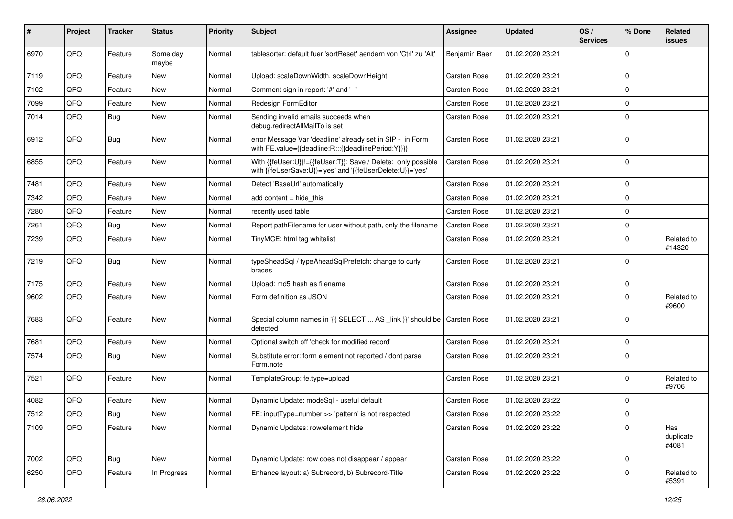| ∦    | Project        | <b>Tracker</b> | <b>Status</b>     | <b>Priority</b> | Subject                                                                                                                    | <b>Assignee</b>     | <b>Updated</b>   | OS/<br><b>Services</b> | % Done      | Related<br>issues         |
|------|----------------|----------------|-------------------|-----------------|----------------------------------------------------------------------------------------------------------------------------|---------------------|------------------|------------------------|-------------|---------------------------|
| 6970 | QFQ            | Feature        | Some day<br>maybe | Normal          | tablesorter: default fuer 'sortReset' aendern von 'Ctrl' zu 'Alt'                                                          | Benjamin Baer       | 01.02.2020 23:21 |                        | 0           |                           |
| 7119 | QFQ            | Feature        | New               | Normal          | Upload: scaleDownWidth, scaleDownHeight                                                                                    | Carsten Rose        | 01.02.2020 23:21 |                        | $\mathbf 0$ |                           |
| 7102 | QFQ            | Feature        | New               | Normal          | Comment sign in report: '#' and '--'                                                                                       | Carsten Rose        | 01.02.2020 23:21 |                        | $\mathbf 0$ |                           |
| 7099 | QFQ            | Feature        | New               | Normal          | Redesign FormEditor                                                                                                        | Carsten Rose        | 01.02.2020 23:21 |                        | $\mathbf 0$ |                           |
| 7014 | QFQ            | <b>Bug</b>     | New               | Normal          | Sending invalid emails succeeds when<br>debug.redirectAllMailTo is set                                                     | Carsten Rose        | 01.02.2020 23:21 |                        | $\Omega$    |                           |
| 6912 | QFQ            | Bug            | New               | Normal          | error Message Var 'deadline' already set in SIP - in Form<br>with FE.value={{deadline:R:::{{deadlinePeriod:Y}}}}           | Carsten Rose        | 01.02.2020 23:21 |                        | 0           |                           |
| 6855 | QFQ            | Feature        | New               | Normal          | With {{feUser:U}}!={{feUser:T}}: Save / Delete: only possible<br>with {{feUserSave:U}}='yes' and '{{feUserDelete:U}}='yes' | Carsten Rose        | 01.02.2020 23:21 |                        | $\Omega$    |                           |
| 7481 | QFQ            | Feature        | New               | Normal          | Detect 'BaseUrl' automatically                                                                                             | Carsten Rose        | 01.02.2020 23:21 |                        | $\mathbf 0$ |                           |
| 7342 | QFQ            | Feature        | New               | Normal          | add content $=$ hide this                                                                                                  | <b>Carsten Rose</b> | 01.02.2020 23:21 |                        | $\mathbf 0$ |                           |
| 7280 | QFQ            | Feature        | New               | Normal          | recently used table                                                                                                        | Carsten Rose        | 01.02.2020 23:21 |                        | $\mathbf 0$ |                           |
| 7261 | QFQ            | Bug            | New               | Normal          | Report pathFilename for user without path, only the filename                                                               | <b>Carsten Rose</b> | 01.02.2020 23:21 |                        | $\mathbf 0$ |                           |
| 7239 | QFQ            | Feature        | New               | Normal          | TinyMCE: html tag whitelist                                                                                                | Carsten Rose        | 01.02.2020 23:21 |                        | $\mathbf 0$ | Related to<br>#14320      |
| 7219 | QFQ            | Bug            | New               | Normal          | typeSheadSql / typeAheadSqlPrefetch: change to curly<br>braces                                                             | Carsten Rose        | 01.02.2020 23:21 |                        | $\Omega$    |                           |
| 7175 | QFQ            | Feature        | New               | Normal          | Upload: md5 hash as filename                                                                                               | Carsten Rose        | 01.02.2020 23:21 |                        | 0           |                           |
| 9602 | QFQ            | Feature        | New               | Normal          | Form definition as JSON                                                                                                    | Carsten Rose        | 01.02.2020 23:21 |                        | $\Omega$    | Related to<br>#9600       |
| 7683 | QFQ            | Feature        | New               | Normal          | Special column names in '{{ SELECT  AS _link }}' should be<br>detected                                                     | Carsten Rose        | 01.02.2020 23:21 |                        | $\Omega$    |                           |
| 7681 | QFQ            | Feature        | New               | Normal          | Optional switch off 'check for modified record'                                                                            | Carsten Rose        | 01.02.2020 23:21 |                        | $\mathbf 0$ |                           |
| 7574 | QFQ            | Bug            | New               | Normal          | Substitute error: form element not reported / dont parse<br>Form.note                                                      | Carsten Rose        | 01.02.2020 23:21 |                        | $\mathbf 0$ |                           |
| 7521 | QFQ            | Feature        | New               | Normal          | TemplateGroup: fe.type=upload                                                                                              | Carsten Rose        | 01.02.2020 23:21 |                        | $\mathbf 0$ | Related to<br>#9706       |
| 4082 | QFQ            | Feature        | New               | Normal          | Dynamic Update: modeSql - useful default                                                                                   | Carsten Rose        | 01.02.2020 23:22 |                        | $\mathbf 0$ |                           |
| 7512 | $\mathsf{QFO}$ | Bug            | New               | Normal          | FE: inputType=number >> 'pattern' is not respected                                                                         | Carsten Rose        | 01.02.2020 23:22 |                        | 0           |                           |
| 7109 | QFQ            | Feature        | New               | Normal          | Dynamic Updates: row/element hide                                                                                          | Carsten Rose        | 01.02.2020 23:22 |                        | $\mathbf 0$ | Has<br>duplicate<br>#4081 |
| 7002 | QFQ            | <b>Bug</b>     | New               | Normal          | Dynamic Update: row does not disappear / appear                                                                            | Carsten Rose        | 01.02.2020 23:22 |                        | $\mathbf 0$ |                           |
| 6250 | QFQ            | Feature        | In Progress       | Normal          | Enhance layout: a) Subrecord, b) Subrecord-Title                                                                           | Carsten Rose        | 01.02.2020 23:22 |                        | $\mathbf 0$ | Related to<br>#5391       |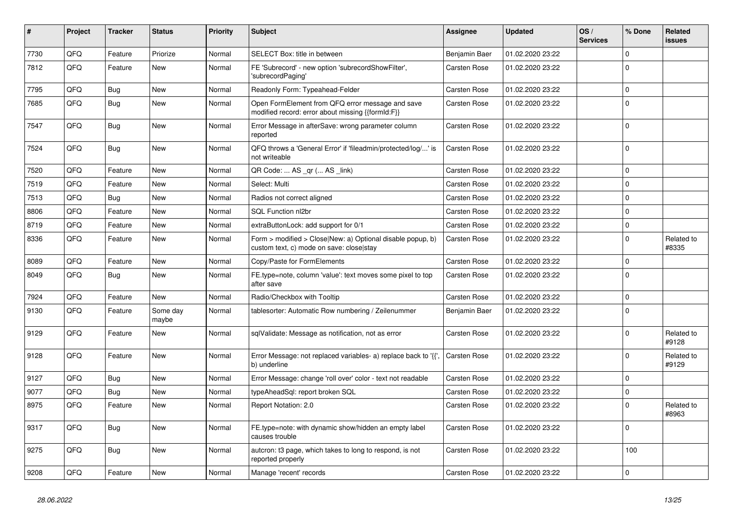| ∥ #  | Project | <b>Tracker</b> | <b>Status</b>     | <b>Priority</b> | <b>Subject</b>                                                                                         | Assignee            | <b>Updated</b>   | OS/<br><b>Services</b> | % Done       | Related<br>issues   |
|------|---------|----------------|-------------------|-----------------|--------------------------------------------------------------------------------------------------------|---------------------|------------------|------------------------|--------------|---------------------|
| 7730 | QFQ     | Feature        | Priorize          | Normal          | SELECT Box: title in between                                                                           | Benjamin Baer       | 01.02.2020 23:22 |                        | $\Omega$     |                     |
| 7812 | QFQ     | Feature        | <b>New</b>        | Normal          | FE 'Subrecord' - new option 'subrecordShowFilter',<br>'subrecordPaging'                                | Carsten Rose        | 01.02.2020 23:22 |                        | $\Omega$     |                     |
| 7795 | QFQ     | <b>Bug</b>     | <b>New</b>        | Normal          | Readonly Form: Typeahead-Felder                                                                        | Carsten Rose        | 01.02.2020 23:22 |                        | $\mathbf 0$  |                     |
| 7685 | QFQ     | <b>Bug</b>     | New               | Normal          | Open FormElement from QFQ error message and save<br>modified record: error about missing {{formId:F}}  | Carsten Rose        | 01.02.2020 23:22 |                        | $\Omega$     |                     |
| 7547 | QFQ     | <b>Bug</b>     | New               | Normal          | Error Message in afterSave: wrong parameter column<br>reported                                         | Carsten Rose        | 01.02.2020 23:22 |                        | $\Omega$     |                     |
| 7524 | QFQ     | Bug            | New               | Normal          | QFQ throws a 'General Error' if 'fileadmin/protected/log/' is<br>not writeable                         | <b>Carsten Rose</b> | 01.02.2020 23:22 |                        | $\Omega$     |                     |
| 7520 | QFQ     | Feature        | New               | Normal          | QR Code:  AS _qr ( AS _link)                                                                           | Carsten Rose        | 01.02.2020 23:22 |                        | $\mathbf 0$  |                     |
| 7519 | QFQ     | Feature        | New               | Normal          | Select: Multi                                                                                          | Carsten Rose        | 01.02.2020 23:22 |                        | $\Omega$     |                     |
| 7513 | QFQ     | <b>Bug</b>     | <b>New</b>        | Normal          | Radios not correct aligned                                                                             | Carsten Rose        | 01.02.2020 23:22 |                        | $\Omega$     |                     |
| 8806 | QFQ     | Feature        | <b>New</b>        | Normal          | <b>SQL Function nl2br</b>                                                                              | Carsten Rose        | 01.02.2020 23:22 |                        | $\Omega$     |                     |
| 8719 | QFQ     | Feature        | <b>New</b>        | Normal          | extraButtonLock: add support for 0/1                                                                   | Carsten Rose        | 01.02.2020 23:22 |                        | $\mathsf{O}$ |                     |
| 8336 | QFQ     | Feature        | <b>New</b>        | Normal          | Form > modified > Close New: a) Optional disable popup, b)<br>custom text, c) mode on save: closelstay | Carsten Rose        | 01.02.2020 23:22 |                        | $\Omega$     | Related to<br>#8335 |
| 8089 | QFQ     | Feature        | New               | Normal          | Copy/Paste for FormElements                                                                            | Carsten Rose        | 01.02.2020 23:22 |                        | $\mathbf 0$  |                     |
| 8049 | QFQ     | Bug            | New               | Normal          | FE.type=note, column 'value': text moves some pixel to top<br>after save                               | Carsten Rose        | 01.02.2020 23:22 |                        | $\Omega$     |                     |
| 7924 | QFQ     | Feature        | <b>New</b>        | Normal          | Radio/Checkbox with Tooltip                                                                            | Carsten Rose        | 01.02.2020 23:22 |                        | $\Omega$     |                     |
| 9130 | QFQ     | Feature        | Some day<br>maybe | Normal          | tablesorter: Automatic Row numbering / Zeilenummer                                                     | Benjamin Baer       | 01.02.2020 23:22 |                        | $\Omega$     |                     |
| 9129 | QFQ     | Feature        | <b>New</b>        | Normal          | sqlValidate: Message as notification, not as error                                                     | Carsten Rose        | 01.02.2020 23:22 |                        | $\Omega$     | Related to<br>#9128 |
| 9128 | QFQ     | Feature        | New               | Normal          | Error Message: not replaced variables- a) replace back to '{{'.<br>b) underline                        | <b>Carsten Rose</b> | 01.02.2020 23:22 |                        | $\mathbf 0$  | Related to<br>#9129 |
| 9127 | QFQ     | <b>Bug</b>     | New               | Normal          | Error Message: change 'roll over' color - text not readable                                            | Carsten Rose        | 01.02.2020 23:22 |                        | $\Omega$     |                     |
| 9077 | QFQ     | <b>Bug</b>     | <b>New</b>        | Normal          | typeAheadSql: report broken SQL                                                                        | Carsten Rose        | 01.02.2020 23:22 |                        | $\Omega$     |                     |
| 8975 | QFQ     | Feature        | <b>New</b>        | Normal          | Report Notation: 2.0                                                                                   | Carsten Rose        | 01.02.2020 23:22 |                        | $\Omega$     | Related to<br>#8963 |
| 9317 | QFQ     | Bug            | New               | Normal          | FE.type=note: with dynamic show/hidden an empty label<br>causes trouble                                | Carsten Rose        | 01.02.2020 23:22 |                        | $\Omega$     |                     |
| 9275 | QFQ     | <b>Bug</b>     | New               | Normal          | autcron: t3 page, which takes to long to respond, is not<br>reported properly                          | Carsten Rose        | 01.02.2020 23:22 |                        | 100          |                     |
| 9208 | QFQ     | Feature        | New               | Normal          | Manage 'recent' records                                                                                | <b>Carsten Rose</b> | 01.02.2020 23:22 |                        | $\Omega$     |                     |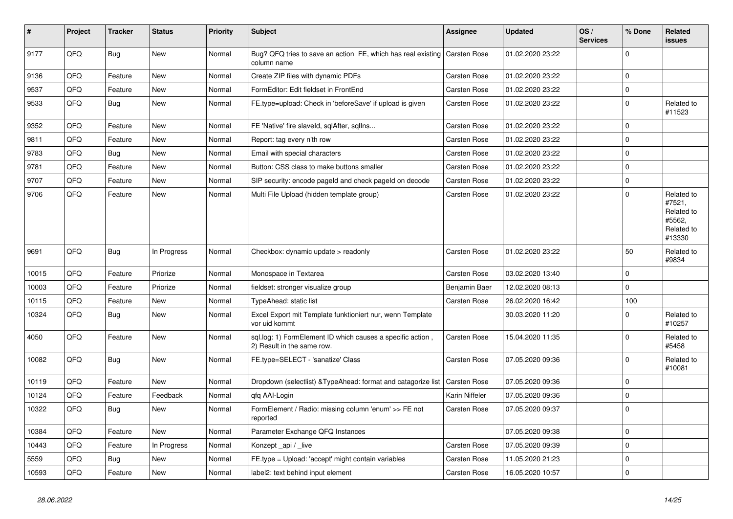| #     | Project | <b>Tracker</b> | <b>Status</b> | <b>Priority</b> | <b>Subject</b>                                                                           | Assignee            | <b>Updated</b>   | OS/<br><b>Services</b> | % Done      | Related<br>issues                                                    |
|-------|---------|----------------|---------------|-----------------|------------------------------------------------------------------------------------------|---------------------|------------------|------------------------|-------------|----------------------------------------------------------------------|
| 9177  | QFQ     | <b>Bug</b>     | <b>New</b>    | Normal          | Bug? QFQ tries to save an action FE, which has real existing<br>column name              | <b>Carsten Rose</b> | 01.02.2020 23:22 |                        | $\mathbf 0$ |                                                                      |
| 9136  | QFQ     | Feature        | New           | Normal          | Create ZIP files with dynamic PDFs                                                       | Carsten Rose        | 01.02.2020 23:22 |                        | $\Omega$    |                                                                      |
| 9537  | QFQ     | Feature        | New           | Normal          | FormEditor: Edit fieldset in FrontEnd                                                    | <b>Carsten Rose</b> | 01.02.2020 23:22 |                        | $\Omega$    |                                                                      |
| 9533  | QFQ     | <b>Bug</b>     | New           | Normal          | FE.type=upload: Check in 'beforeSave' if upload is given                                 | Carsten Rose        | 01.02.2020 23:22 |                        | $\Omega$    | Related to<br>#11523                                                 |
| 9352  | QFQ     | Feature        | <b>New</b>    | Normal          | FE 'Native' fire slaveld, sqlAfter, sqllns                                               | <b>Carsten Rose</b> | 01.02.2020 23:22 |                        | $\mathbf 0$ |                                                                      |
| 9811  | QFQ     | Feature        | New           | Normal          | Report: tag every n'th row                                                               | Carsten Rose        | 01.02.2020 23:22 |                        | $\mathbf 0$ |                                                                      |
| 9783  | QFQ     | Bug            | New           | Normal          | Email with special characters                                                            | Carsten Rose        | 01.02.2020 23:22 |                        | $\mathbf 0$ |                                                                      |
| 9781  | QFQ     | Feature        | <b>New</b>    | Normal          | Button: CSS class to make buttons smaller                                                | Carsten Rose        | 01.02.2020 23:22 |                        | $\mathbf 0$ |                                                                      |
| 9707  | QFQ     | Feature        | <b>New</b>    | Normal          | SIP security: encode pageld and check pageld on decode                                   | Carsten Rose        | 01.02.2020 23:22 |                        | $\mathbf 0$ |                                                                      |
| 9706  | QFQ     | Feature        | New           | Normal          | Multi File Upload (hidden template group)                                                | Carsten Rose        | 01.02.2020 23:22 |                        | $\Omega$    | Related to<br>#7521,<br>Related to<br>#5562,<br>Related to<br>#13330 |
| 9691  | QFQ     | <b>Bug</b>     | In Progress   | Normal          | Checkbox: dynamic update > readonly                                                      | Carsten Rose        | 01.02.2020 23:22 |                        | 50          | Related to<br>#9834                                                  |
| 10015 | QFQ     | Feature        | Priorize      | Normal          | Monospace in Textarea                                                                    | Carsten Rose        | 03.02.2020 13:40 |                        | $\mathbf 0$ |                                                                      |
| 10003 | QFQ     | Feature        | Priorize      | Normal          | fieldset: stronger visualize group                                                       | Benjamin Baer       | 12.02.2020 08:13 |                        | $\mathbf 0$ |                                                                      |
| 10115 | QFQ     | Feature        | New           | Normal          | TypeAhead: static list                                                                   | <b>Carsten Rose</b> | 26.02.2020 16:42 |                        | 100         |                                                                      |
| 10324 | QFQ     | Bug            | New           | Normal          | Excel Export mit Template funktioniert nur, wenn Template<br>vor uid kommt               |                     | 30.03.2020 11:20 |                        | 0           | Related to<br>#10257                                                 |
| 4050  | QFQ     | Feature        | <b>New</b>    | Normal          | sql.log: 1) FormElement ID which causes a specific action,<br>2) Result in the same row. | Carsten Rose        | 15.04.2020 11:35 |                        | $\mathbf 0$ | Related to<br>#5458                                                  |
| 10082 | QFQ     | <b>Bug</b>     | <b>New</b>    | Normal          | FE.type=SELECT - 'sanatize' Class                                                        | Carsten Rose        | 07.05.2020 09:36 |                        | $\Omega$    | Related to<br>#10081                                                 |
| 10119 | QFQ     | Feature        | <b>New</b>    | Normal          | Dropdown (selectlist) & Type Ahead: format and catagorize list                           | <b>Carsten Rose</b> | 07.05.2020 09:36 |                        | $\mathbf 0$ |                                                                      |
| 10124 | QFQ     | Feature        | Feedback      | Normal          | qfq AAI-Login                                                                            | Karin Niffeler      | 07.05.2020 09:36 |                        | $\mathbf 0$ |                                                                      |
| 10322 | QFQ     | <b>Bug</b>     | New           | Normal          | FormElement / Radio: missing column 'enum' >> FE not<br>reported                         | Carsten Rose        | 07.05.2020 09:37 |                        | $\mathbf 0$ |                                                                      |
| 10384 | QFQ     | Feature        | New           | Normal          | Parameter Exchange QFQ Instances                                                         |                     | 07.05.2020 09:38 |                        | $\mathbf 0$ |                                                                      |
| 10443 | QFQ     | Feature        | In Progress   | Normal          | Konzept _api / _live                                                                     | Carsten Rose        | 07.05.2020 09:39 |                        | $\mathbf 0$ |                                                                      |
| 5559  | QFQ     | <b>Bug</b>     | <b>New</b>    | Normal          | FE.type = Upload: 'accept' might contain variables                                       | Carsten Rose        | 11.05.2020 21:23 |                        | $\Omega$    |                                                                      |
| 10593 | QFQ     | Feature        | <b>New</b>    | Normal          | label2: text behind input element                                                        | Carsten Rose        | 16.05.2020 10:57 |                        | $\Omega$    |                                                                      |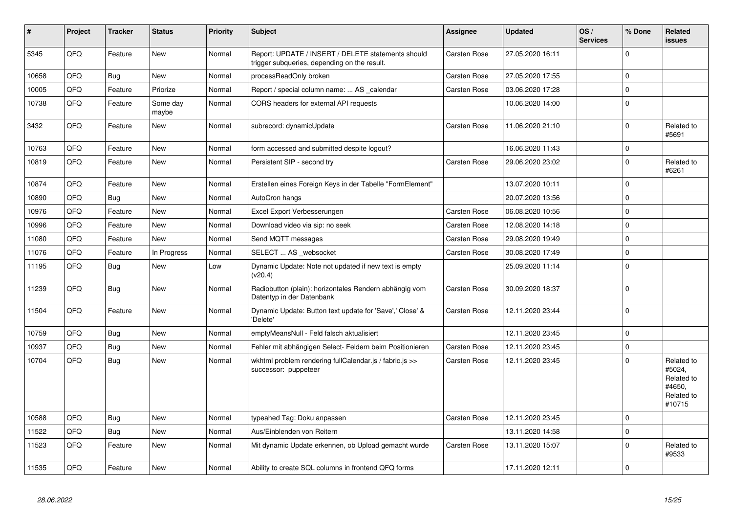| #     | <b>Project</b> | <b>Tracker</b> | <b>Status</b>     | <b>Priority</b> | <b>Subject</b>                                                                                     | Assignee            | <b>Updated</b>   | OS/<br><b>Services</b> | % Done      | Related<br>issues                                                    |
|-------|----------------|----------------|-------------------|-----------------|----------------------------------------------------------------------------------------------------|---------------------|------------------|------------------------|-------------|----------------------------------------------------------------------|
| 5345  | QFQ            | Feature        | New               | Normal          | Report: UPDATE / INSERT / DELETE statements should<br>trigger subqueries, depending on the result. | <b>Carsten Rose</b> | 27.05.2020 16:11 |                        | $\Omega$    |                                                                      |
| 10658 | QFQ            | Bug            | New               | Normal          | processReadOnly broken                                                                             | <b>Carsten Rose</b> | 27.05.2020 17:55 |                        | $\mathbf 0$ |                                                                      |
| 10005 | QFQ            | Feature        | Priorize          | Normal          | Report / special column name:  AS _calendar                                                        | Carsten Rose        | 03.06.2020 17:28 |                        | $\Omega$    |                                                                      |
| 10738 | QFQ            | Feature        | Some day<br>maybe | Normal          | CORS headers for external API requests                                                             |                     | 10.06.2020 14:00 |                        | $\mathbf 0$ |                                                                      |
| 3432  | QFQ            | Feature        | New               | Normal          | subrecord: dynamicUpdate                                                                           | Carsten Rose        | 11.06.2020 21:10 |                        | $\Omega$    | Related to<br>#5691                                                  |
| 10763 | QFQ            | Feature        | New               | Normal          | form accessed and submitted despite logout?                                                        |                     | 16.06.2020 11:43 |                        | $\mathbf 0$ |                                                                      |
| 10819 | QFQ            | Feature        | New               | Normal          | Persistent SIP - second try                                                                        | Carsten Rose        | 29.06.2020 23:02 |                        | $\Omega$    | Related to<br>#6261                                                  |
| 10874 | QFQ            | Feature        | <b>New</b>        | Normal          | Erstellen eines Foreign Keys in der Tabelle "FormElement"                                          |                     | 13.07.2020 10:11 |                        | $\Omega$    |                                                                      |
| 10890 | QFQ            | Bug            | New               | Normal          | AutoCron hangs                                                                                     |                     | 20.07.2020 13:56 |                        | $\Omega$    |                                                                      |
| 10976 | QFQ            | Feature        | New               | Normal          | Excel Export Verbesserungen                                                                        | Carsten Rose        | 06.08.2020 10:56 |                        | $\Omega$    |                                                                      |
| 10996 | QFQ            | Feature        | New               | Normal          | Download video via sip: no seek                                                                    | Carsten Rose        | 12.08.2020 14:18 |                        | $\mathbf 0$ |                                                                      |
| 11080 | QFQ            | Feature        | New               | Normal          | Send MQTT messages                                                                                 | <b>Carsten Rose</b> | 29.08.2020 19:49 |                        | $\Omega$    |                                                                      |
| 11076 | QFQ            | Feature        | In Progress       | Normal          | SELECT  AS _websocket                                                                              | Carsten Rose        | 30.08.2020 17:49 |                        | $\mathbf 0$ |                                                                      |
| 11195 | QFQ            | <b>Bug</b>     | <b>New</b>        | Low             | Dynamic Update: Note not updated if new text is empty<br>(v20.4)                                   |                     | 25.09.2020 11:14 |                        | $\Omega$    |                                                                      |
| 11239 | QFQ            | Bug            | New               | Normal          | Radiobutton (plain): horizontales Rendern abhängig vom<br>Datentyp in der Datenbank                | <b>Carsten Rose</b> | 30.09.2020 18:37 |                        | $\Omega$    |                                                                      |
| 11504 | QFQ            | Feature        | New               | Normal          | Dynamic Update: Button text update for 'Save',' Close' &<br>'Delete'                               | <b>Carsten Rose</b> | 12.11.2020 23:44 |                        | $\mathbf 0$ |                                                                      |
| 10759 | QFQ            | Bug            | New               | Normal          | emptyMeansNull - Feld falsch aktualisiert                                                          |                     | 12.11.2020 23:45 |                        | $\Omega$    |                                                                      |
| 10937 | QFQ            | <b>Bug</b>     | New               | Normal          | Fehler mit abhängigen Select- Feldern beim Positionieren                                           | Carsten Rose        | 12.11.2020 23:45 |                        | $\Omega$    |                                                                      |
| 10704 | QFQ            | Bug            | New               | Normal          | wkhtml problem rendering fullCalendar.js / fabric.js >><br>successor: puppeteer                    | <b>Carsten Rose</b> | 12.11.2020 23:45 |                        | $\Omega$    | Related to<br>#5024,<br>Related to<br>#4650,<br>Related to<br>#10715 |
| 10588 | QFQ            | Bug            | New               | Normal          | typeahed Tag: Doku anpassen                                                                        | <b>Carsten Rose</b> | 12.11.2020 23:45 |                        | $\Omega$    |                                                                      |
| 11522 | QFQ            | <b>Bug</b>     | <b>New</b>        | Normal          | Aus/Einblenden von Reitern                                                                         |                     | 13.11.2020 14:58 |                        | $\Omega$    |                                                                      |
| 11523 | QFQ            | Feature        | New               | Normal          | Mit dynamic Update erkennen, ob Upload gemacht wurde                                               | Carsten Rose        | 13.11.2020 15:07 |                        | $\Omega$    | Related to<br>#9533                                                  |
| 11535 | QFQ            | Feature        | New               | Normal          | Ability to create SQL columns in frontend QFQ forms                                                |                     | 17.11.2020 12:11 |                        | $\mathbf 0$ |                                                                      |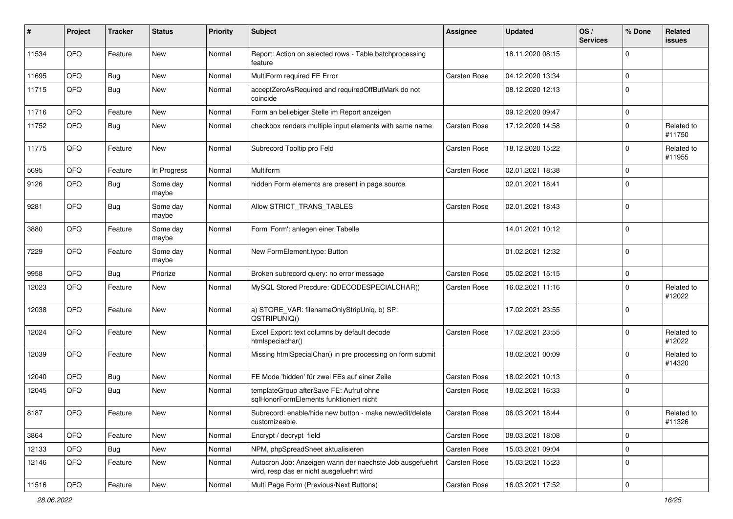| #     | Project | <b>Tracker</b> | <b>Status</b>     | <b>Priority</b> | Subject                                                                                              | <b>Assignee</b>     | <b>Updated</b>   | OS/<br><b>Services</b> | % Done              | Related<br>issues    |
|-------|---------|----------------|-------------------|-----------------|------------------------------------------------------------------------------------------------------|---------------------|------------------|------------------------|---------------------|----------------------|
| 11534 | QFQ     | Feature        | New               | Normal          | Report: Action on selected rows - Table batchprocessing<br>feature                                   |                     | 18.11.2020 08:15 |                        | $\mathbf 0$         |                      |
| 11695 | QFQ     | <b>Bug</b>     | New               | Normal          | MultiForm required FE Error                                                                          | Carsten Rose        | 04.12.2020 13:34 |                        | 0                   |                      |
| 11715 | QFQ     | <b>Bug</b>     | New               | Normal          | acceptZeroAsRequired and requiredOffButMark do not<br>coincide                                       |                     | 08.12.2020 12:13 |                        | 0                   |                      |
| 11716 | QFQ     | Feature        | <b>New</b>        | Normal          | Form an beliebiger Stelle im Report anzeigen                                                         |                     | 09.12.2020 09:47 |                        | $\mathbf 0$         |                      |
| 11752 | QFQ     | Bug            | New               | Normal          | checkbox renders multiple input elements with same name                                              | <b>Carsten Rose</b> | 17.12.2020 14:58 |                        | 0                   | Related to<br>#11750 |
| 11775 | QFQ     | Feature        | New               | Normal          | Subrecord Tooltip pro Feld                                                                           | <b>Carsten Rose</b> | 18.12.2020 15:22 |                        | $\mathbf 0$         | Related to<br>#11955 |
| 5695  | QFQ     | Feature        | In Progress       | Normal          | Multiform                                                                                            | Carsten Rose        | 02.01.2021 18:38 |                        | $\mathbf 0$         |                      |
| 9126  | QFQ     | Bug            | Some day<br>maybe | Normal          | hidden Form elements are present in page source                                                      |                     | 02.01.2021 18:41 |                        | 0                   |                      |
| 9281  | QFQ     | Bug            | Some day<br>maybe | Normal          | Allow STRICT_TRANS_TABLES                                                                            | <b>Carsten Rose</b> | 02.01.2021 18:43 |                        | 0                   |                      |
| 3880  | QFQ     | Feature        | Some day<br>maybe | Normal          | Form 'Form': anlegen einer Tabelle                                                                   |                     | 14.01.2021 10:12 |                        | 0                   |                      |
| 7229  | QFQ     | Feature        | Some day<br>maybe | Normal          | New FormElement.type: Button                                                                         |                     | 01.02.2021 12:32 |                        | 0                   |                      |
| 9958  | QFQ     | Bug            | Priorize          | Normal          | Broken subrecord query: no error message                                                             | <b>Carsten Rose</b> | 05.02.2021 15:15 |                        | 0                   |                      |
| 12023 | QFQ     | Feature        | New               | Normal          | MySQL Stored Precdure: QDECODESPECIALCHAR()                                                          | Carsten Rose        | 16.02.2021 11:16 |                        | 0                   | Related to<br>#12022 |
| 12038 | QFQ     | Feature        | New               | Normal          | a) STORE_VAR: filenameOnlyStripUniq, b) SP:<br>QSTRIPUNIQ()                                          |                     | 17.02.2021 23:55 |                        | 0                   |                      |
| 12024 | QFQ     | Feature        | New               | Normal          | Excel Export: text columns by default decode<br>htmlspeciachar()                                     | <b>Carsten Rose</b> | 17.02.2021 23:55 |                        | $\mathbf 0$         | Related to<br>#12022 |
| 12039 | QFQ     | Feature        | New               | Normal          | Missing htmlSpecialChar() in pre processing on form submit                                           |                     | 18.02.2021 00:09 |                        | 0                   | Related to<br>#14320 |
| 12040 | QFQ     | <b>Bug</b>     | New               | Normal          | FE Mode 'hidden' für zwei FEs auf einer Zeile                                                        | Carsten Rose        | 18.02.2021 10:13 |                        | $\mathbf 0$         |                      |
| 12045 | QFQ     | Bug            | New               | Normal          | templateGroup afterSave FE: Aufruf ohne<br>sqlHonorFormElements funktioniert nicht                   | Carsten Rose        | 18.02.2021 16:33 |                        | 0                   |                      |
| 8187  | QFQ     | Feature        | New               | Normal          | Subrecord: enable/hide new button - make new/edit/delete<br>customizeable.                           | Carsten Rose        | 06.03.2021 18:44 |                        | $\mathbf 0$         | Related to<br>#11326 |
| 3864  | QFQ     | Feature        | New               | Normal          | Encrypt / decrypt field                                                                              | Carsten Rose        | 08.03.2021 18:08 |                        | 0                   |                      |
| 12133 | QFQ     | <b>Bug</b>     | New               | Normal          | NPM, phpSpreadSheet aktualisieren                                                                    | Carsten Rose        | 15.03.2021 09:04 |                        | 0                   |                      |
| 12146 | QFQ     | Feature        | New               | Normal          | Autocron Job: Anzeigen wann der naechste Job ausgefuehrt<br>wird, resp das er nicht ausgefuehrt wird | Carsten Rose        | 15.03.2021 15:23 |                        | 0                   |                      |
| 11516 | QFG     | Feature        | New               | Normal          | Multi Page Form (Previous/Next Buttons)                                                              | Carsten Rose        | 16.03.2021 17:52 |                        | $\mathsf{O}\xspace$ |                      |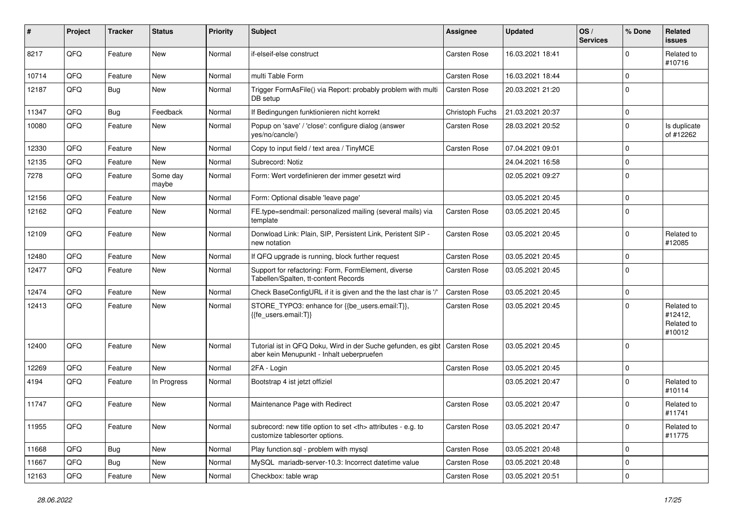| #     | Project | <b>Tracker</b> | <b>Status</b>     | <b>Priority</b> | <b>Subject</b>                                                                                             | <b>Assignee</b>                                        | <b>Updated</b>   | OS/<br><b>Services</b> | % Done      | Related<br>issues                             |                      |
|-------|---------|----------------|-------------------|-----------------|------------------------------------------------------------------------------------------------------------|--------------------------------------------------------|------------------|------------------------|-------------|-----------------------------------------------|----------------------|
| 8217  | QFQ     | Feature        | <b>New</b>        | Normal          | if-elseif-else construct                                                                                   | Carsten Rose                                           | 16.03.2021 18:41 |                        | $\Omega$    | Related to<br>#10716                          |                      |
| 10714 | QFQ     | Feature        | New               | Normal          | multi Table Form                                                                                           | Carsten Rose                                           | 16.03.2021 18:44 |                        | $\mathbf 0$ |                                               |                      |
| 12187 | QFQ     | Bug            | New               | Normal          | Trigger FormAsFile() via Report: probably problem with multi<br>DB setup                                   | Carsten Rose                                           | 20.03.2021 21:20 |                        | $\Omega$    |                                               |                      |
| 11347 | QFQ     | Bug            | Feedback          | Normal          | If Bedingungen funktionieren nicht korrekt                                                                 | Christoph Fuchs                                        | 21.03.2021 20:37 |                        | $\mathbf 0$ |                                               |                      |
| 10080 | QFQ     | Feature        | New               | Normal          | Popup on 'save' / 'close': configure dialog (answer<br>yes/no/cancle/)                                     | Carsten Rose                                           | 28.03.2021 20:52 |                        | $\mathbf 0$ | Is duplicate<br>of #12262                     |                      |
| 12330 | QFQ     | Feature        | <b>New</b>        | Normal          | Copy to input field / text area / TinyMCE                                                                  | Carsten Rose                                           | 07.04.2021 09:01 |                        | $\mathbf 0$ |                                               |                      |
| 12135 | QFQ     | Feature        | New               | Normal          | Subrecord: Notiz                                                                                           |                                                        | 24.04.2021 16:58 |                        | $\mathbf 0$ |                                               |                      |
| 7278  | QFQ     | Feature        | Some day<br>maybe | Normal          | Form: Wert vordefinieren der immer gesetzt wird                                                            |                                                        | 02.05.2021 09:27 |                        | $\Omega$    |                                               |                      |
| 12156 | QFQ     | Feature        | New               | Normal          | Form: Optional disable 'leave page'                                                                        |                                                        | 03.05.2021 20:45 |                        | $\mathbf 0$ |                                               |                      |
| 12162 | QFQ     | Feature        | New               | Normal          | FE.type=sendmail: personalized mailing (several mails) via<br>template                                     | <b>Carsten Rose</b>                                    | 03.05.2021 20:45 |                        | $\Omega$    |                                               |                      |
| 12109 | QFQ     | Feature        | <b>New</b>        | Normal          | Donwload Link: Plain, SIP, Persistent Link, Peristent SIP -<br>new notation                                | Carsten Rose                                           | 03.05.2021 20:45 |                        | $\Omega$    | Related to<br>#12085                          |                      |
| 12480 | QFQ     | Feature        | <b>New</b>        | Normal          | If QFQ upgrade is running, block further request                                                           | Carsten Rose                                           | 03.05.2021 20:45 |                        | $\mathbf 0$ |                                               |                      |
| 12477 | QFQ     | Feature        | New               | Normal          | Support for refactoring: Form, FormElement, diverse<br>Tabellen/Spalten, tt-content Records                | Carsten Rose                                           | 03.05.2021 20:45 |                        | $\Omega$    |                                               |                      |
| 12474 | QFQ     | Feature        | <b>New</b>        | Normal          | Check BaseConfigURL if it is given and the the last char is '/'                                            | Carsten Rose                                           | 03.05.2021 20:45 |                        | $\mathbf 0$ |                                               |                      |
| 12413 | QFQ     | Feature        | New               | Normal          | STORE_TYPO3: enhance for {{be_users.email:T}},<br>{{fe_users.email:T}}                                     | Carsten Rose                                           | 03.05.2021 20:45 |                        | $\Omega$    | Related to<br>#12412,<br>Related to<br>#10012 |                      |
| 12400 | QFQ     | Feature        | <b>New</b>        | Normal          | Tutorial ist in QFQ Doku, Wird in der Suche gefunden, es gibt<br>aber kein Menupunkt - Inhalt ueberpruefen | <b>Carsten Rose</b>                                    | 03.05.2021 20:45 |                        | $\mathbf 0$ |                                               |                      |
| 12269 | QFQ     | Feature        | <b>New</b>        | Normal          | 2FA - Login                                                                                                | Carsten Rose                                           | 03.05.2021 20:45 |                        | $\mathbf 0$ |                                               |                      |
| 4194  | QFQ     | Feature        | In Progress       | Normal          | Bootstrap 4 ist jetzt offiziel                                                                             |                                                        | 03.05.2021 20:47 |                        | 0           | Related to<br>#10114                          |                      |
| 11747 | QFQ     | Feature        | <b>New</b>        | Normal          | Maintenance Page with Redirect                                                                             | Carsten Rose                                           | 03.05.2021 20:47 |                        | $\mathbf 0$ | Related to<br>#11741                          |                      |
| 11955 | QFQ     | Feature        | New               | Normal          | subrecord: new title option to set <th> attributes - e.g. to<br/>customize tablesorter options.</th>       | attributes - e.g. to<br>customize tablesorter options. | Carsten Rose     | 03.05.2021 20:47       |             | $\mathbf 0$                                   | Related to<br>#11775 |
| 11668 | QFQ     | Bug            | New               | Normal          | Play function.sql - problem with mysql                                                                     | Carsten Rose                                           | 03.05.2021 20:48 |                        | 0           |                                               |                      |
| 11667 | QFQ     | <b>Bug</b>     | New               | Normal          | MySQL mariadb-server-10.3: Incorrect datetime value                                                        | Carsten Rose                                           | 03.05.2021 20:48 |                        | $\mathbf 0$ |                                               |                      |
| 12163 | QFQ     | Feature        | New               | Normal          | Checkbox: table wrap                                                                                       | Carsten Rose                                           | 03.05.2021 20:51 |                        | $\mathbf 0$ |                                               |                      |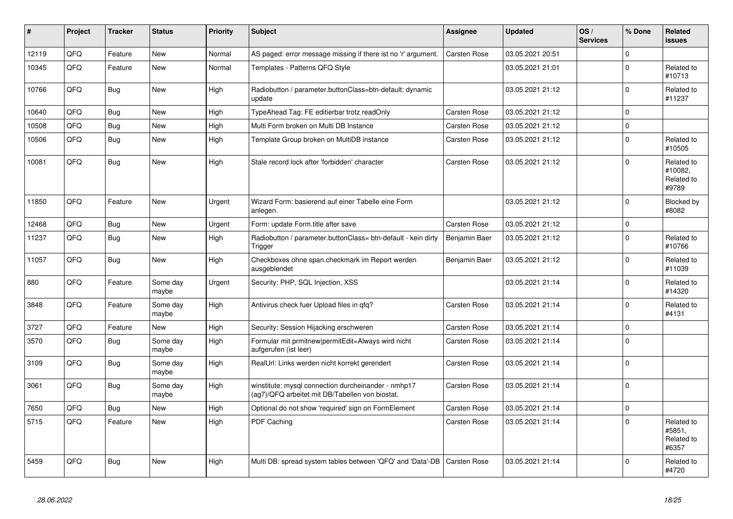| #     | Project | <b>Tracker</b> | <b>Status</b>     | <b>Priority</b> | <b>Subject</b>                                                                                         | Assignee            | <b>Updated</b>   | OS/<br><b>Services</b> | % Done      | Related<br><b>issues</b>                     |
|-------|---------|----------------|-------------------|-----------------|--------------------------------------------------------------------------------------------------------|---------------------|------------------|------------------------|-------------|----------------------------------------------|
| 12119 | QFQ     | Feature        | <b>New</b>        | Normal          | AS paged: error message missing if there ist no 'r' argument.                                          | Carsten Rose        | 03.05.2021 20:51 |                        | $\Omega$    |                                              |
| 10345 | QFQ     | Feature        | New               | Normal          | Templates - Patterns QFQ Style                                                                         |                     | 03.05.2021 21:01 |                        | $\Omega$    | Related to<br>#10713                         |
| 10766 | QFQ     | <b>Bug</b>     | <b>New</b>        | High            | Radiobutton / parameter.buttonClass=btn-default: dynamic<br>update                                     |                     | 03.05.2021 21:12 |                        | $\Omega$    | Related to<br>#11237                         |
| 10640 | QFQ     | Bug            | <b>New</b>        | High            | TypeAhead Tag: FE editierbar trotz readOnly                                                            | <b>Carsten Rose</b> | 03.05.2021 21:12 |                        | $\mathbf 0$ |                                              |
| 10508 | QFQ     | <b>Bug</b>     | <b>New</b>        | High            | Multi Form broken on Multi DB Instance                                                                 | Carsten Rose        | 03.05.2021 21:12 |                        | $\Omega$    |                                              |
| 10506 | QFQ     | <b>Bug</b>     | <b>New</b>        | High            | Template Group broken on MultiDB instance                                                              | Carsten Rose        | 03.05.2021 21:12 |                        | $\Omega$    | Related to<br>#10505                         |
| 10081 | QFQ     | <b>Bug</b>     | <b>New</b>        | High            | Stale record lock after 'forbidden' character                                                          | Carsten Rose        | 03.05.2021 21:12 |                        | $\Omega$    | Related to<br>#10082.<br>Related to<br>#9789 |
| 11850 | QFQ     | Feature        | <b>New</b>        | Urgent          | Wizard Form: basierend auf einer Tabelle eine Form<br>anlegen.                                         |                     | 03.05.2021 21:12 |                        | $\Omega$    | Blocked by<br>#8082                          |
| 12468 | QFQ     | <b>Bug</b>     | <b>New</b>        | Urgent          | Form: update Form.title after save                                                                     | Carsten Rose        | 03.05.2021 21:12 |                        | $\Omega$    |                                              |
| 11237 | QFQ     | Bug            | New               | High            | Radiobutton / parameter.buttonClass= btn-default - kein dirty<br>Trigger                               | Benjamin Baer       | 03.05.2021 21:12 |                        | $\Omega$    | Related to<br>#10766                         |
| 11057 | QFQ     | <b>Bug</b>     | <b>New</b>        | High            | Checkboxes ohne span.checkmark im Report werden<br>ausgeblendet                                        | Benjamin Baer       | 03.05.2021 21:12 |                        | $\Omega$    | Related to<br>#11039                         |
| 880   | QFQ     | Feature        | Some day<br>maybe | Urgent          | Security: PHP, SQL Injection, XSS                                                                      |                     | 03.05.2021 21:14 |                        | $\Omega$    | Related to<br>#14320                         |
| 3848  | QFQ     | Feature        | Some day<br>maybe | High            | Antivirus check fuer Upload files in qfq?                                                              | Carsten Rose        | 03.05.2021 21:14 |                        | $\Omega$    | Related to<br>#4131                          |
| 3727  | QFQ     | Feature        | <b>New</b>        | High            | Security: Session Hijacking erschweren                                                                 | Carsten Rose        | 03.05.2021 21:14 |                        | $\Omega$    |                                              |
| 3570  | QFQ     | <b>Bug</b>     | Some day<br>maybe | High            | Formular mit prmitnew permitEdit=Always wird nicht<br>aufgerufen (ist leer)                            | Carsten Rose        | 03.05.2021 21:14 |                        | $\Omega$    |                                              |
| 3109  | QFQ     | <b>Bug</b>     | Some day<br>maybe | High            | RealUrl: Links werden nicht korrekt gerendert                                                          | Carsten Rose        | 03.05.2021 21:14 |                        | $\Omega$    |                                              |
| 3061  | QFQ     | <b>Bug</b>     | Some day<br>maybe | High            | winstitute: mysql connection durcheinander - nmhp17<br>(ag7)/QFQ arbeitet mit DB/Tabellen von biostat. | Carsten Rose        | 03.05.2021 21:14 |                        | $\Omega$    |                                              |
| 7650  | QFQ     | Bug            | New               | High            | Optional do not show 'required' sign on FormElement                                                    | Carsten Rose        | 03.05.2021 21:14 |                        | $\mathbf 0$ |                                              |
| 5715  | QFQ     | Feature        | New               | High            | PDF Caching                                                                                            | Carsten Rose        | 03.05.2021 21:14 |                        | $\Omega$    | Related to<br>#5851,<br>Related to<br>#6357  |
| 5459  | QFQ     | <b>Bug</b>     | <b>New</b>        | High            | Multi DB: spread system tables between 'QFQ' and 'Data'-DB                                             | Carsten Rose        | 03.05.2021 21:14 |                        | $\Omega$    | Related to<br>#4720                          |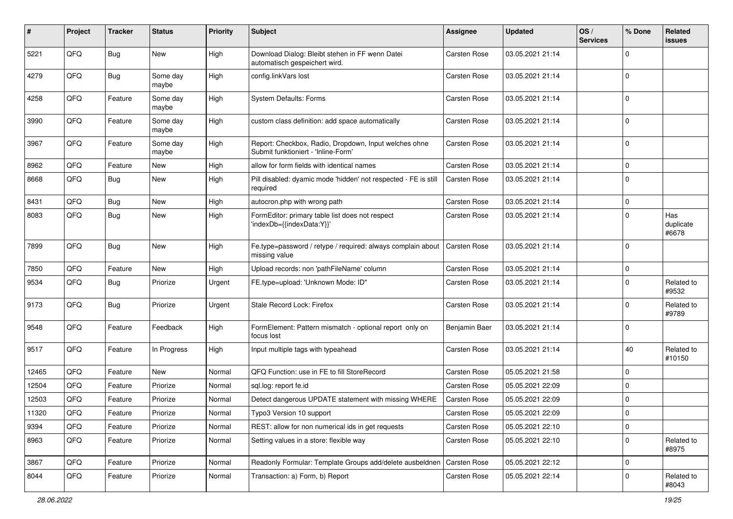| #     | Project | <b>Tracker</b> | <b>Status</b>     | <b>Priority</b> | <b>Subject</b>                                                                               | <b>Assignee</b>     | <b>Updated</b>   | OS/<br><b>Services</b> | % Done      | Related<br>issues         |
|-------|---------|----------------|-------------------|-----------------|----------------------------------------------------------------------------------------------|---------------------|------------------|------------------------|-------------|---------------------------|
| 5221  | QFQ     | Bug            | New               | High            | Download Dialog: Bleibt stehen in FF wenn Datei<br>automatisch gespeichert wird.             | <b>Carsten Rose</b> | 03.05.2021 21:14 |                        | 0           |                           |
| 4279  | QFQ     | <b>Bug</b>     | Some day<br>maybe | High            | config.linkVars lost                                                                         | <b>Carsten Rose</b> | 03.05.2021 21:14 |                        | $\mathbf 0$ |                           |
| 4258  | QFQ     | Feature        | Some day<br>maybe | High            | <b>System Defaults: Forms</b>                                                                | Carsten Rose        | 03.05.2021 21:14 |                        | $\mathbf 0$ |                           |
| 3990  | QFQ     | Feature        | Some day<br>maybe | High            | custom class definition: add space automatically                                             | Carsten Rose        | 03.05.2021 21:14 |                        | $\mathbf 0$ |                           |
| 3967  | QFQ     | Feature        | Some day<br>maybe | High            | Report: Checkbox, Radio, Dropdown, Input welches ohne<br>Submit funktioniert - 'Inline-Form' | <b>Carsten Rose</b> | 03.05.2021 21:14 |                        | $\mathbf 0$ |                           |
| 8962  | QFQ     | Feature        | New               | High            | allow for form fields with identical names                                                   | <b>Carsten Rose</b> | 03.05.2021 21:14 |                        | $\mathbf 0$ |                           |
| 8668  | QFQ     | Bug            | New               | High            | Pill disabled: dyamic mode 'hidden' not respected - FE is still<br>required                  | Carsten Rose        | 03.05.2021 21:14 |                        | 0           |                           |
| 8431  | QFQ     | <b>Bug</b>     | New               | High            | autocron.php with wrong path                                                                 | <b>Carsten Rose</b> | 03.05.2021 21:14 |                        | 0           |                           |
| 8083  | QFQ     | <b>Bug</b>     | New               | High            | FormEditor: primary table list does not respect<br>'indexDb={{indexData:Y}}'                 | Carsten Rose        | 03.05.2021 21:14 |                        | $\Omega$    | Has<br>duplicate<br>#6678 |
| 7899  | QFQ     | <b>Bug</b>     | New               | High            | Fe.type=password / retype / required: always complain about<br>missing value                 | <b>Carsten Rose</b> | 03.05.2021 21:14 |                        | $\Omega$    |                           |
| 7850  | QFQ     | Feature        | New               | High            | Upload records: non 'pathFileName' column                                                    | <b>Carsten Rose</b> | 03.05.2021 21:14 |                        | $\mathbf 0$ |                           |
| 9534  | QFQ     | Bug            | Priorize          | Urgent          | FE.type=upload: 'Unknown Mode: ID"                                                           | Carsten Rose        | 03.05.2021 21:14 |                        | $\mathbf 0$ | Related to<br>#9532       |
| 9173  | QFQ     | Bug            | Priorize          | Urgent          | Stale Record Lock: Firefox                                                                   | Carsten Rose        | 03.05.2021 21:14 |                        | 0           | Related to<br>#9789       |
| 9548  | QFQ     | Feature        | Feedback          | High            | FormElement: Pattern mismatch - optional report only on<br>focus lost                        | Benjamin Baer       | 03.05.2021 21:14 |                        | 0           |                           |
| 9517  | QFQ     | Feature        | In Progress       | High            | Input multiple tags with typeahead                                                           | <b>Carsten Rose</b> | 03.05.2021 21:14 |                        | 40          | Related to<br>#10150      |
| 12465 | QFQ     | Feature        | <b>New</b>        | Normal          | QFQ Function: use in FE to fill StoreRecord                                                  | <b>Carsten Rose</b> | 05.05.2021 21:58 |                        | $\mathbf 0$ |                           |
| 12504 | QFQ     | Feature        | Priorize          | Normal          | sql.log: report fe.id                                                                        | <b>Carsten Rose</b> | 05.05.2021 22:09 |                        | $\mathbf 0$ |                           |
| 12503 | QFQ     | Feature        | Priorize          | Normal          | Detect dangerous UPDATE statement with missing WHERE                                         | <b>Carsten Rose</b> | 05.05.2021 22:09 |                        | $\mathbf 0$ |                           |
| 11320 | QFQ     | Feature        | Priorize          | Normal          | Typo3 Version 10 support                                                                     | Carsten Rose        | 05.05.2021 22:09 |                        | $\Omega$    |                           |
| 9394  | QFQ     | Feature        | Priorize          | Normal          | REST: allow for non numerical ids in get requests                                            | Carsten Rose        | 05.05.2021 22:10 |                        | $\mathbf 0$ |                           |
| 8963  | QFQ     | Feature        | Priorize          | Normal          | Setting values in a store: flexible way                                                      | Carsten Rose        | 05.05.2021 22:10 |                        | $\mathbf 0$ | Related to<br>#8975       |
| 3867  | QFQ     | Feature        | Priorize          | Normal          | Readonly Formular: Template Groups add/delete ausbeldnen                                     | Carsten Rose        | 05.05.2021 22:12 |                        | $\mathbf 0$ |                           |
| 8044  | QFQ     | Feature        | Priorize          | Normal          | Transaction: a) Form, b) Report                                                              | Carsten Rose        | 05.05.2021 22:14 |                        | 0           | Related to<br>#8043       |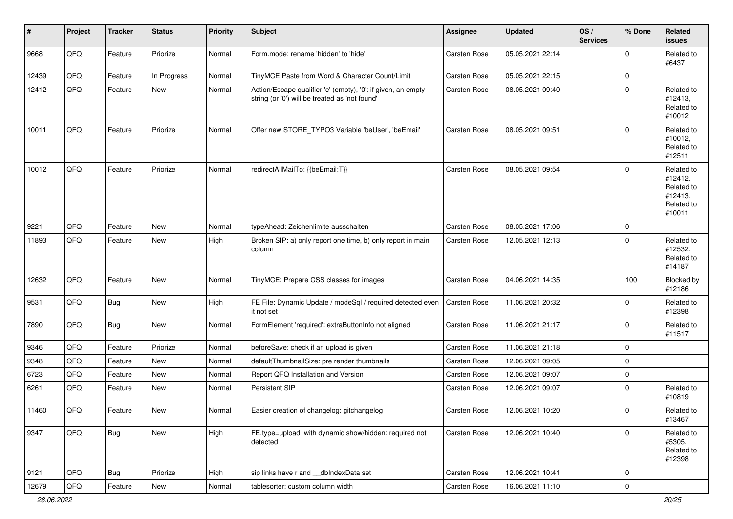| $\vert$ # | Project | <b>Tracker</b> | <b>Status</b> | <b>Priority</b> | <b>Subject</b>                                                                                                 | <b>Assignee</b>     | <b>Updated</b>   | OS/<br><b>Services</b> | % Done      | Related<br><b>issues</b>                                               |
|-----------|---------|----------------|---------------|-----------------|----------------------------------------------------------------------------------------------------------------|---------------------|------------------|------------------------|-------------|------------------------------------------------------------------------|
| 9668      | QFQ     | Feature        | Priorize      | Normal          | Form.mode: rename 'hidden' to 'hide'                                                                           | <b>Carsten Rose</b> | 05.05.2021 22:14 |                        | $\Omega$    | Related to<br>#6437                                                    |
| 12439     | QFQ     | Feature        | In Progress   | Normal          | TinyMCE Paste from Word & Character Count/Limit                                                                | Carsten Rose        | 05.05.2021 22:15 |                        | $\mathbf 0$ |                                                                        |
| 12412     | QFQ     | Feature        | New           | Normal          | Action/Escape qualifier 'e' (empty), '0': if given, an empty<br>string (or '0') will be treated as 'not found' | Carsten Rose        | 08.05.2021 09:40 |                        | $\Omega$    | Related to<br>#12413,<br>Related to<br>#10012                          |
| 10011     | QFQ     | Feature        | Priorize      | Normal          | Offer new STORE_TYPO3 Variable 'beUser', 'beEmail'                                                             | <b>Carsten Rose</b> | 08.05.2021 09:51 |                        | $\Omega$    | Related to<br>#10012,<br>Related to<br>#12511                          |
| 10012     | QFQ     | Feature        | Priorize      | Normal          | redirectAllMailTo: {{beEmail:T}}                                                                               | <b>Carsten Rose</b> | 08.05.2021 09:54 |                        | $\Omega$    | Related to<br>#12412,<br>Related to<br>#12413,<br>Related to<br>#10011 |
| 9221      | QFQ     | Feature        | New           | Normal          | typeAhead: Zeichenlimite ausschalten                                                                           | <b>Carsten Rose</b> | 08.05.2021 17:06 |                        | $\mathbf 0$ |                                                                        |
| 11893     | QFQ     | Feature        | New           | High            | Broken SIP: a) only report one time, b) only report in main<br>column                                          | Carsten Rose        | 12.05.2021 12:13 |                        | $\Omega$    | Related to<br>#12532,<br>Related to<br>#14187                          |
| 12632     | QFQ     | Feature        | New           | Normal          | TinyMCE: Prepare CSS classes for images                                                                        | Carsten Rose        | 04.06.2021 14:35 |                        | 100         | Blocked by<br>#12186                                                   |
| 9531      | QFQ     | Bug            | New           | High            | FE File: Dynamic Update / modeSql / required detected even<br>it not set                                       | Carsten Rose        | 11.06.2021 20:32 |                        | $\Omega$    | Related to<br>#12398                                                   |
| 7890      | QFQ     | <b>Bug</b>     | New           | Normal          | FormElement 'required': extraButtonInfo not aligned                                                            | Carsten Rose        | 11.06.2021 21:17 |                        | $\mathbf 0$ | Related to<br>#11517                                                   |
| 9346      | QFQ     | Feature        | Priorize      | Normal          | beforeSave: check if an upload is given                                                                        | <b>Carsten Rose</b> | 11.06.2021 21:18 |                        | $\mathbf 0$ |                                                                        |
| 9348      | QFQ     | Feature        | New           | Normal          | defaultThumbnailSize: pre render thumbnails                                                                    | <b>Carsten Rose</b> | 12.06.2021 09:05 |                        | $\mathbf 0$ |                                                                        |
| 6723      | QFQ     | Feature        | New           | Normal          | Report QFQ Installation and Version                                                                            | Carsten Rose        | 12.06.2021 09:07 |                        | $\mathbf 0$ |                                                                        |
| 6261      | QFQ     | Feature        | New           | Normal          | Persistent SIP                                                                                                 | Carsten Rose        | 12.06.2021 09:07 |                        | $\Omega$    | Related to<br>#10819                                                   |
| 11460     | QFQ     | Feature        | New           | Normal          | Easier creation of changelog: gitchangelog                                                                     | Carsten Rose        | 12.06.2021 10:20 |                        | l 0         | Related to<br>#13467                                                   |
| 9347      | QFG     | <b>Bug</b>     | New           | High            | FE.type=upload with dynamic show/hidden: required not<br>detected                                              | Carsten Rose        | 12.06.2021 10:40 |                        | $\Omega$    | Related to<br>#5305,<br>Related to<br>#12398                           |
| 9121      | QFG     | <b>Bug</b>     | Priorize      | High            | sip links have r and __dbIndexData set                                                                         | Carsten Rose        | 12.06.2021 10:41 |                        | l 0         |                                                                        |
| 12679     | QFQ     | Feature        | New           | Normal          | tablesorter: custom column width                                                                               | Carsten Rose        | 16.06.2021 11:10 |                        | 0           |                                                                        |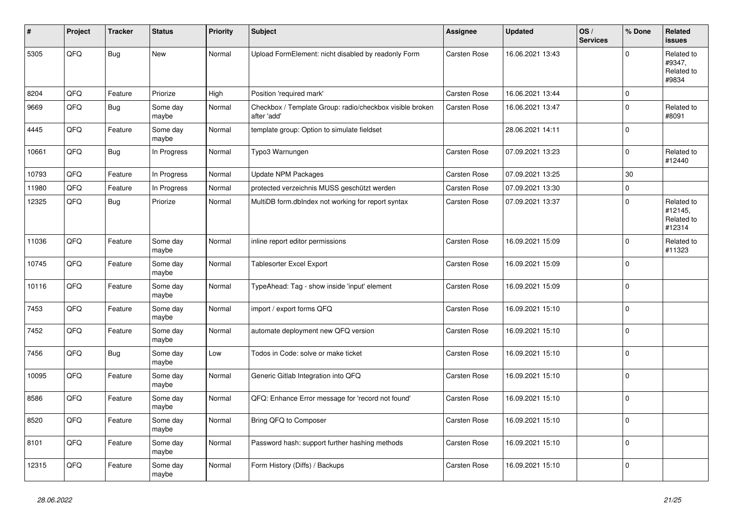| #     | Project | <b>Tracker</b> | <b>Status</b>     | <b>Priority</b> | <b>Subject</b>                                                          | Assignee            | <b>Updated</b>   | OS/<br><b>Services</b> | % Done      | Related<br>issues                             |
|-------|---------|----------------|-------------------|-----------------|-------------------------------------------------------------------------|---------------------|------------------|------------------------|-------------|-----------------------------------------------|
| 5305  | QFQ     | <b>Bug</b>     | <b>New</b>        | Normal          | Upload FormElement: nicht disabled by readonly Form                     | <b>Carsten Rose</b> | 16.06.2021 13:43 |                        | $\Omega$    | Related to<br>#9347,<br>Related to<br>#9834   |
| 8204  | QFQ     | Feature        | Priorize          | High            | Position 'required mark'                                                | Carsten Rose        | 16.06.2021 13:44 |                        | 0 I         |                                               |
| 9669  | QFQ     | Bug            | Some day<br>maybe | Normal          | Checkbox / Template Group: radio/checkbox visible broken<br>after 'add' | Carsten Rose        | 16.06.2021 13:47 |                        | $\Omega$    | Related to<br>#8091                           |
| 4445  | QFQ     | Feature        | Some day<br>maybe | Normal          | template group: Option to simulate fieldset                             |                     | 28.06.2021 14:11 |                        | 0           |                                               |
| 10661 | QFQ     | <b>Bug</b>     | In Progress       | Normal          | Typo3 Warnungen                                                         | Carsten Rose        | 07.09.2021 13:23 |                        | $\Omega$    | Related to<br>#12440                          |
| 10793 | QFQ     | Feature        | In Progress       | Normal          | <b>Update NPM Packages</b>                                              | <b>Carsten Rose</b> | 07.09.2021 13:25 |                        | 30          |                                               |
| 11980 | QFQ     | Feature        | In Progress       | Normal          | protected verzeichnis MUSS geschützt werden                             | Carsten Rose        | 07.09.2021 13:30 |                        | $\Omega$    |                                               |
| 12325 | QFQ     | Bug            | Priorize          | Normal          | MultiDB form.dblndex not working for report syntax                      | Carsten Rose        | 07.09.2021 13:37 |                        | $\Omega$    | Related to<br>#12145,<br>Related to<br>#12314 |
| 11036 | QFQ     | Feature        | Some day<br>maybe | Normal          | inline report editor permissions                                        | Carsten Rose        | 16.09.2021 15:09 |                        | $\Omega$    | Related to<br>#11323                          |
| 10745 | QFQ     | Feature        | Some day<br>maybe | Normal          | <b>Tablesorter Excel Export</b>                                         | Carsten Rose        | 16.09.2021 15:09 |                        | 0           |                                               |
| 10116 | QFQ     | Feature        | Some day<br>maybe | Normal          | TypeAhead: Tag - show inside 'input' element                            | Carsten Rose        | 16.09.2021 15:09 |                        | $\Omega$    |                                               |
| 7453  | QFQ     | Feature        | Some day<br>maybe | Normal          | import / export forms QFQ                                               | Carsten Rose        | 16.09.2021 15:10 |                        | $\Omega$    |                                               |
| 7452  | QFQ     | Feature        | Some day<br>maybe | Normal          | automate deployment new QFQ version                                     | <b>Carsten Rose</b> | 16.09.2021 15:10 |                        | 0 I         |                                               |
| 7456  | QFQ     | <b>Bug</b>     | Some day<br>maybe | Low             | Todos in Code: solve or make ticket                                     | Carsten Rose        | 16.09.2021 15:10 |                        | $\mathbf 0$ |                                               |
| 10095 | QFQ     | Feature        | Some day<br>maybe | Normal          | Generic Gitlab Integration into QFQ                                     | Carsten Rose        | 16.09.2021 15:10 |                        | 0 I         |                                               |
| 8586  | QFQ     | Feature        | Some day<br>maybe | Normal          | QFQ: Enhance Error message for 'record not found'                       | <b>Carsten Rose</b> | 16.09.2021 15:10 |                        | $\Omega$    |                                               |
| 8520  | QFQ     | Feature        | Some day<br>maybe | Normal          | Bring QFQ to Composer                                                   | <b>Carsten Rose</b> | 16.09.2021 15:10 |                        | $\Omega$    |                                               |
| 8101  | QFQ     | Feature        | Some day<br>maybe | Normal          | Password hash: support further hashing methods                          | Carsten Rose        | 16.09.2021 15:10 |                        | $\Omega$    |                                               |
| 12315 | QFQ     | Feature        | Some day<br>maybe | Normal          | Form History (Diffs) / Backups                                          | Carsten Rose        | 16.09.2021 15:10 |                        | $\Omega$    |                                               |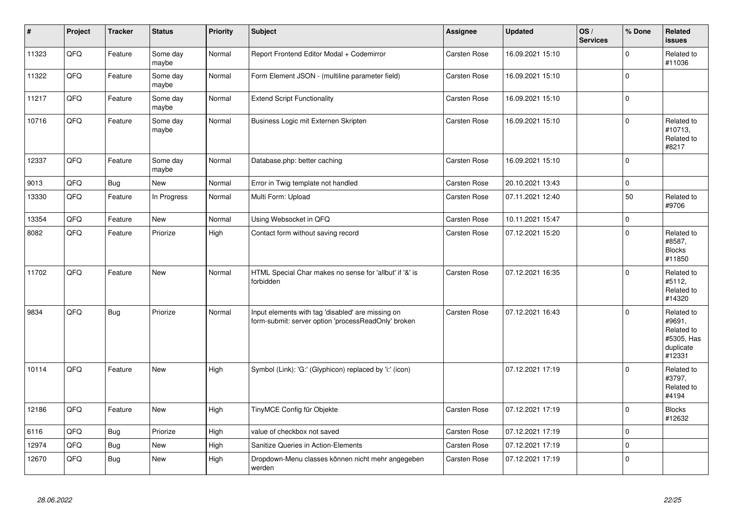| $\vert$ # | Project | <b>Tracker</b> | <b>Status</b>     | <b>Priority</b> | <b>Subject</b>                                                                                           | Assignee            | <b>Updated</b>   | OS/<br><b>Services</b> | % Done         | Related<br>issues                                                       |
|-----------|---------|----------------|-------------------|-----------------|----------------------------------------------------------------------------------------------------------|---------------------|------------------|------------------------|----------------|-------------------------------------------------------------------------|
| 11323     | QFQ     | Feature        | Some day<br>maybe | Normal          | Report Frontend Editor Modal + Codemirror                                                                | <b>Carsten Rose</b> | 16.09.2021 15:10 |                        | $\Omega$       | Related to<br>#11036                                                    |
| 11322     | QFQ     | Feature        | Some day<br>maybe | Normal          | Form Element JSON - (multiline parameter field)                                                          | <b>Carsten Rose</b> | 16.09.2021 15:10 |                        | $\Omega$       |                                                                         |
| 11217     | QFQ     | Feature        | Some day<br>maybe | Normal          | <b>Extend Script Functionality</b>                                                                       | <b>Carsten Rose</b> | 16.09.2021 15:10 |                        | 0              |                                                                         |
| 10716     | QFQ     | Feature        | Some day<br>maybe | Normal          | Business Logic mit Externen Skripten                                                                     | <b>Carsten Rose</b> | 16.09.2021 15:10 |                        | $\Omega$       | Related to<br>#10713,<br>Related to<br>#8217                            |
| 12337     | QFQ     | Feature        | Some day<br>maybe | Normal          | Database.php: better caching                                                                             | <b>Carsten Rose</b> | 16.09.2021 15:10 |                        | $\Omega$       |                                                                         |
| 9013      | QFQ     | <b>Bug</b>     | <b>New</b>        | Normal          | Error in Twig template not handled                                                                       | <b>Carsten Rose</b> | 20.10.2021 13:43 |                        | $\mathbf 0$    |                                                                         |
| 13330     | QFQ     | Feature        | In Progress       | Normal          | Multi Form: Upload                                                                                       | Carsten Rose        | 07.11.2021 12:40 |                        | 50             | Related to<br>#9706                                                     |
| 13354     | QFQ     | Feature        | <b>New</b>        | Normal          | Using Websocket in QFQ                                                                                   | Carsten Rose        | 10.11.2021 15:47 |                        | $\mathbf 0$    |                                                                         |
| 8082      | QFQ     | Feature        | Priorize          | High            | Contact form without saving record                                                                       | Carsten Rose        | 07.12.2021 15:20 |                        | $\Omega$       | Related to<br>#8587,<br><b>Blocks</b><br>#11850                         |
| 11702     | QFQ     | Feature        | New               | Normal          | HTML Special Char makes no sense for 'allbut' if '&' is<br>forbidden                                     | <b>Carsten Rose</b> | 07.12.2021 16:35 |                        | $\Omega$       | Related to<br>#5112,<br>Related to<br>#14320                            |
| 9834      | QFQ     | <b>Bug</b>     | Priorize          | Normal          | Input elements with tag 'disabled' are missing on<br>form-submit: server option 'processReadOnly' broken | <b>Carsten Rose</b> | 07.12.2021 16:43 |                        | $\mathbf 0$    | Related to<br>#9691,<br>Related to<br>#5305, Has<br>duplicate<br>#12331 |
| 10114     | QFQ     | Feature        | <b>New</b>        | High            | Symbol (Link): 'G:' (Glyphicon) replaced by 'i:' (icon)                                                  |                     | 07.12.2021 17:19 |                        | $\overline{0}$ | Related to<br>#3797,<br>Related to<br>#4194                             |
| 12186     | QFQ     | Feature        | New               | High            | TinyMCE Config für Objekte                                                                               | <b>Carsten Rose</b> | 07.12.2021 17:19 |                        | $\Omega$       | <b>Blocks</b><br>#12632                                                 |
| 6116      | QFQ     | <b>Bug</b>     | Priorize          | High            | value of checkbox not saved                                                                              | <b>Carsten Rose</b> | 07.12.2021 17:19 |                        | $\Omega$       |                                                                         |
| 12974     | QFQ     | <b>Bug</b>     | New               | High            | Sanitize Queries in Action-Elements                                                                      | <b>Carsten Rose</b> | 07.12.2021 17:19 |                        | $\Omega$       |                                                                         |
| 12670     | QFQ     | <b>Bug</b>     | New               | High            | Dropdown-Menu classes können nicht mehr angegeben<br>werden                                              | Carsten Rose        | 07.12.2021 17:19 |                        | $\Omega$       |                                                                         |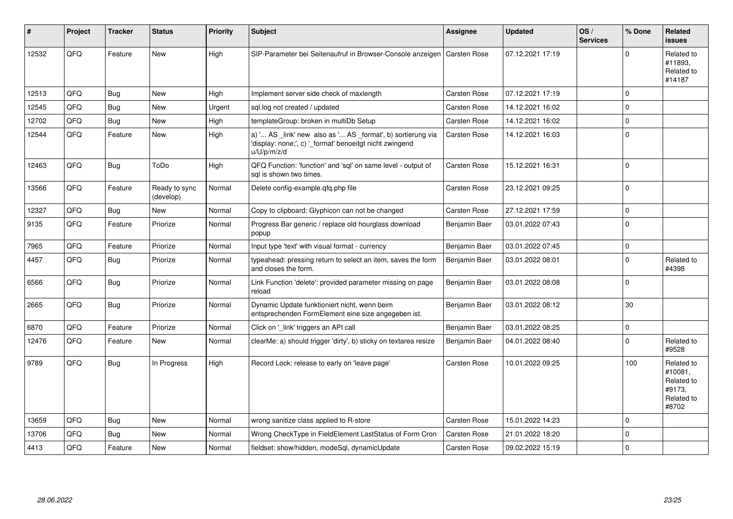| #     | Project | <b>Tracker</b> | <b>Status</b>              | <b>Priority</b> | <b>Subject</b>                                                                                                                        | Assignee            | <b>Updated</b>   | OS/<br><b>Services</b> | % Done      | Related<br><b>issues</b>                                             |
|-------|---------|----------------|----------------------------|-----------------|---------------------------------------------------------------------------------------------------------------------------------------|---------------------|------------------|------------------------|-------------|----------------------------------------------------------------------|
| 12532 | QFQ     | Feature        | <b>New</b>                 | High            | SIP-Parameter bei Seitenaufruf in Browser-Console anzeigen                                                                            | Carsten Rose        | 07.12.2021 17:19 |                        | $\Omega$    | Related to<br>#11893,<br>Related to<br>#14187                        |
| 12513 | QFQ     | <b>Bug</b>     | <b>New</b>                 | High            | Implement server side check of maxlength                                                                                              | Carsten Rose        | 07.12.2021 17:19 |                        | $\Omega$    |                                                                      |
| 12545 | QFQ     | <b>Bug</b>     | New                        | Urgent          | sql.log not created / updated                                                                                                         | Carsten Rose        | 14.12.2021 16:02 |                        | $\Omega$    |                                                                      |
| 12702 | QFQ     | Bug            | <b>New</b>                 | High            | templateGroup: broken in multiDb Setup                                                                                                | Carsten Rose        | 14.12.2021 16:02 |                        | $\Omega$    |                                                                      |
| 12544 | QFQ     | Feature        | New                        | High            | a) ' AS _link' new also as ' AS _format', b) sortierung via<br>'display: none;', c) ' format' benoeitgt nicht zwingend<br>u/U/p/m/z/d | <b>Carsten Rose</b> | 14.12.2021 16:03 |                        | $\Omega$    |                                                                      |
| 12463 | QFQ     | Bug            | ToDo                       | High            | QFQ Function: 'function' and 'sql' on same level - output of<br>sal is shown two times.                                               | <b>Carsten Rose</b> | 15.12.2021 16:31 |                        | $\Omega$    |                                                                      |
| 13566 | QFQ     | Feature        | Ready to sync<br>(develop) | Normal          | Delete config-example.gfg.php file                                                                                                    | Carsten Rose        | 23.12.2021 09:25 |                        | $\Omega$    |                                                                      |
| 12327 | QFQ     | <b>Bug</b>     | <b>New</b>                 | Normal          | Copy to clipboard: Glyphicon can not be changed                                                                                       | Carsten Rose        | 27.12.2021 17:59 |                        | $\mathbf 0$ |                                                                      |
| 9135  | QFQ     | Feature        | Priorize                   | Normal          | Progress Bar generic / replace old hourglass download<br>popup                                                                        | Benjamin Baer       | 03.01.2022 07:43 |                        | $\mathbf 0$ |                                                                      |
| 7965  | QFQ     | Feature        | Priorize                   | Normal          | Input type 'text' with visual format - currency                                                                                       | Benjamin Baer       | 03.01.2022 07:45 |                        | $\mathbf 0$ |                                                                      |
| 4457  | QFQ     | <b>Bug</b>     | Priorize                   | Normal          | typeahead: pressing return to select an item, saves the form<br>and closes the form.                                                  | Benjamin Baer       | 03.01.2022 08:01 |                        | $\Omega$    | Related to<br>#4398                                                  |
| 6566  | QFQ     | Bug            | Priorize                   | Normal          | Link Function 'delete': provided parameter missing on page<br>reload                                                                  | Benjamin Baer       | 03.01.2022 08:08 |                        | $\mathbf 0$ |                                                                      |
| 2665  | QFQ     | <b>Bug</b>     | Priorize                   | Normal          | Dynamic Update funktioniert nicht, wenn beim<br>entsprechenden FormElement eine size angegeben ist.                                   | Benjamin Baer       | 03.01.2022 08:12 |                        | 30          |                                                                      |
| 6870  | QFQ     | Feature        | Priorize                   | Normal          | Click on '_link' triggers an API call                                                                                                 | Benjamin Baer       | 03.01.2022 08:25 |                        | $\mathbf 0$ |                                                                      |
| 12476 | QFQ     | Feature        | <b>New</b>                 | Normal          | clearMe: a) should trigger 'dirty', b) sticky on textarea resize                                                                      | Benjamin Baer       | 04.01.2022 08:40 |                        | $\Omega$    | Related to<br>#9528                                                  |
| 9789  | QFQ     | Bug            | In Progress                | High            | Record Lock: release to early on 'leave page'                                                                                         | <b>Carsten Rose</b> | 10.01.2022 09:25 |                        | 100         | Related to<br>#10081,<br>Related to<br>#9173,<br>Related to<br>#8702 |
| 13659 | QFQ     | Bug            | <b>New</b>                 | Normal          | wrong sanitize class applied to R-store                                                                                               | Carsten Rose        | 15.01.2022 14:23 |                        | $\mathbf 0$ |                                                                      |
| 13706 | QFQ     | <b>Bug</b>     | New                        | Normal          | Wrong CheckType in FieldElement LastStatus of Form Cron                                                                               | <b>Carsten Rose</b> | 21.01.2022 18:20 |                        | $\mathbf 0$ |                                                                      |
| 4413  | QFQ     | Feature        | <b>New</b>                 | Normal          | fieldset: show/hidden, modeSql, dynamicUpdate                                                                                         | Carsten Rose        | 09.02.2022 15:19 |                        | $\mathbf 0$ |                                                                      |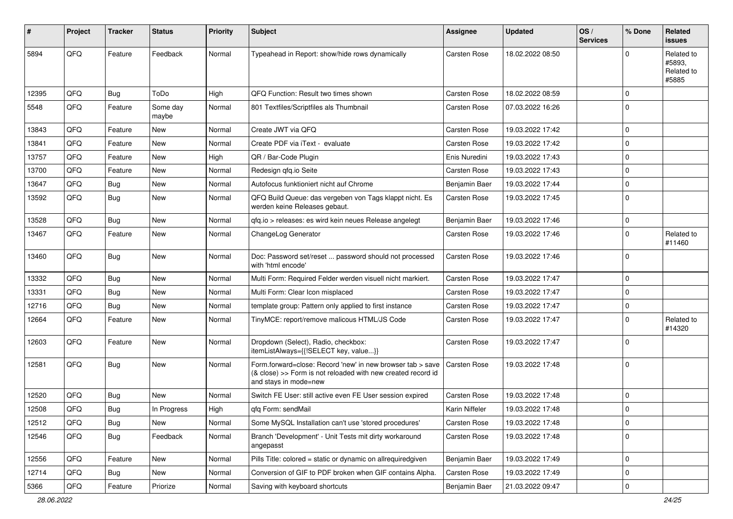| ∦     | Project | <b>Tracker</b> | <b>Status</b>     | <b>Priority</b> | <b>Subject</b>                                                                                                                                      | Assignee            | <b>Updated</b>   | OS/<br><b>Services</b> | % Done      | Related<br>issues                           |
|-------|---------|----------------|-------------------|-----------------|-----------------------------------------------------------------------------------------------------------------------------------------------------|---------------------|------------------|------------------------|-------------|---------------------------------------------|
| 5894  | QFQ     | Feature        | Feedback          | Normal          | Typeahead in Report: show/hide rows dynamically                                                                                                     | Carsten Rose        | 18.02.2022 08:50 |                        | $\Omega$    | Related to<br>#5893,<br>Related to<br>#5885 |
| 12395 | QFQ     | <b>Bug</b>     | ToDo              | High            | QFQ Function: Result two times shown                                                                                                                | <b>Carsten Rose</b> | 18.02.2022 08:59 |                        | $\mathbf 0$ |                                             |
| 5548  | QFQ     | Feature        | Some day<br>maybe | Normal          | 801 Textfiles/Scriptfiles als Thumbnail                                                                                                             | Carsten Rose        | 07.03.2022 16:26 |                        | 0           |                                             |
| 13843 | QFQ     | Feature        | New               | Normal          | Create JWT via QFQ                                                                                                                                  | <b>Carsten Rose</b> | 19.03.2022 17:42 |                        | $\mathbf 0$ |                                             |
| 13841 | QFQ     | Feature        | <b>New</b>        | Normal          | Create PDF via iText - evaluate                                                                                                                     | Carsten Rose        | 19.03.2022 17:42 |                        | $\mathbf 0$ |                                             |
| 13757 | QFQ     | Feature        | New               | High            | QR / Bar-Code Plugin                                                                                                                                | Enis Nuredini       | 19.03.2022 17:43 |                        | $\mathbf 0$ |                                             |
| 13700 | QFQ     | Feature        | New               | Normal          | Redesign qfq.io Seite                                                                                                                               | Carsten Rose        | 19.03.2022 17:43 |                        | $\mathbf 0$ |                                             |
| 13647 | QFQ     | Bug            | New               | Normal          | Autofocus funktioniert nicht auf Chrome                                                                                                             | Benjamin Baer       | 19.03.2022 17:44 |                        | $\mathbf 0$ |                                             |
| 13592 | QFQ     | Bug            | New               | Normal          | QFQ Build Queue: das vergeben von Tags klappt nicht. Es<br>werden keine Releases gebaut.                                                            | <b>Carsten Rose</b> | 19.03.2022 17:45 |                        | $\Omega$    |                                             |
| 13528 | QFQ     | <b>Bug</b>     | <b>New</b>        | Normal          | qfq.io > releases: es wird kein neues Release angelegt                                                                                              | Benjamin Baer       | 19.03.2022 17:46 |                        | $\mathbf 0$ |                                             |
| 13467 | QFQ     | Feature        | New               | Normal          | ChangeLog Generator                                                                                                                                 | <b>Carsten Rose</b> | 19.03.2022 17:46 |                        | 0           | Related to<br>#11460                        |
| 13460 | QFQ     | Bug            | New               | Normal          | Doc: Password set/reset  password should not processed<br>with 'html encode'                                                                        | <b>Carsten Rose</b> | 19.03.2022 17:46 |                        | $\Omega$    |                                             |
| 13332 | QFQ     | Bug            | New               | Normal          | Multi Form: Required Felder werden visuell nicht markiert.                                                                                          | Carsten Rose        | 19.03.2022 17:47 |                        | $\mathbf 0$ |                                             |
| 13331 | QFQ     | Bug            | <b>New</b>        | Normal          | Multi Form: Clear Icon misplaced                                                                                                                    | Carsten Rose        | 19.03.2022 17:47 |                        | $\mathbf 0$ |                                             |
| 12716 | QFQ     | Bug            | New               | Normal          | template group: Pattern only applied to first instance                                                                                              | Carsten Rose        | 19.03.2022 17:47 |                        | 0           |                                             |
| 12664 | QFQ     | Feature        | New               | Normal          | TinyMCE: report/remove malicous HTML/JS Code                                                                                                        | Carsten Rose        | 19.03.2022 17:47 |                        | $\mathbf 0$ | Related to<br>#14320                        |
| 12603 | QFQ     | Feature        | New               | Normal          | Dropdown (Select), Radio, checkbox:<br>itemListAlways={{!SELECT key, value}}                                                                        | Carsten Rose        | 19.03.2022 17:47 |                        | $\Omega$    |                                             |
| 12581 | QFQ     | Bug            | New               | Normal          | Form.forward=close: Record 'new' in new browser tab > save<br>(& close) >> Form is not reloaded with new created record id<br>and stays in mode=new | <b>Carsten Rose</b> | 19.03.2022 17:48 |                        | 0           |                                             |
| 12520 | QFQ     | Bug            | New               | Normal          | Switch FE User: still active even FE User session expired                                                                                           | <b>Carsten Rose</b> | 19.03.2022 17:48 |                        | $\mathbf 0$ |                                             |
| 12508 | QFQ     | <b>Bug</b>     | In Progress       | High            | qfq Form: sendMail                                                                                                                                  | Karin Niffeler      | 19.03.2022 17:48 |                        | $\mathbf 0$ |                                             |
| 12512 | QFQ     | <b>Bug</b>     | New               | Normal          | Some MySQL Installation can't use 'stored procedures'                                                                                               | Carsten Rose        | 19.03.2022 17:48 |                        | 0           |                                             |
| 12546 | QFQ     | <b>Bug</b>     | Feedback          | Normal          | Branch 'Development' - Unit Tests mit dirty workaround<br>angepasst                                                                                 | Carsten Rose        | 19.03.2022 17:48 |                        | 0           |                                             |
| 12556 | QFQ     | Feature        | New               | Normal          | Pills Title: colored = static or dynamic on allrequiredgiven                                                                                        | Benjamin Baer       | 19.03.2022 17:49 |                        | 0           |                                             |
| 12714 | QFQ     | <b>Bug</b>     | New               | Normal          | Conversion of GIF to PDF broken when GIF contains Alpha.                                                                                            | Carsten Rose        | 19.03.2022 17:49 |                        | 0           |                                             |
| 5366  | QFQ     | Feature        | Priorize          | Normal          | Saving with keyboard shortcuts                                                                                                                      | Benjamin Baer       | 21.03.2022 09:47 |                        | 0           |                                             |